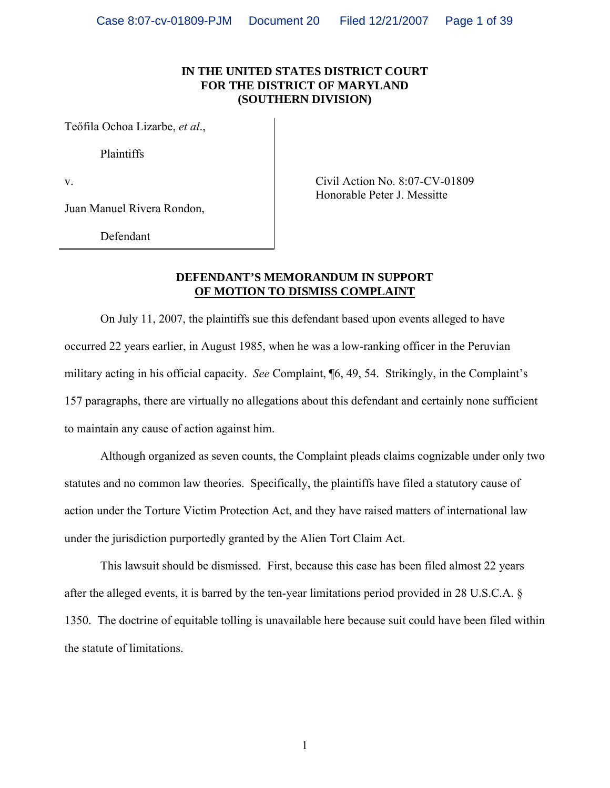### **IN THE UNITED STATES DISTRICT COURT FOR THE DISTRICT OF MARYLAND (SOUTHERN DIVISION)**

Teőfila Ochoa Lizarbe, *et al*.,

Plaintiffs

Juan Manuel Rivera Rondon,

Defendant

v. Honorable Peter J. Messitte

### **DEFENDANT'S MEMORANDUM IN SUPPORT OF MOTION TO DISMISS COMPLAINT**

 On July 11, 2007, the plaintiffs sue this defendant based upon events alleged to have occurred 22 years earlier, in August 1985, when he was a low-ranking officer in the Peruvian military acting in his official capacity. *See* Complaint, ¶6, 49, 54. Strikingly, in the Complaint's 157 paragraphs, there are virtually no allegations about this defendant and certainly none sufficient to maintain any cause of action against him.

 Although organized as seven counts, the Complaint pleads claims cognizable under only two statutes and no common law theories. Specifically, the plaintiffs have filed a statutory cause of action under the Torture Victim Protection Act, and they have raised matters of international law under the jurisdiction purportedly granted by the Alien Tort Claim Act.

 This lawsuit should be dismissed. First, because this case has been filed almost 22 years after the alleged events, it is barred by the ten-year limitations period provided in 28 U.S.C.A. § 1350. The doctrine of equitable tolling is unavailable here because suit could have been filed within the statute of limitations.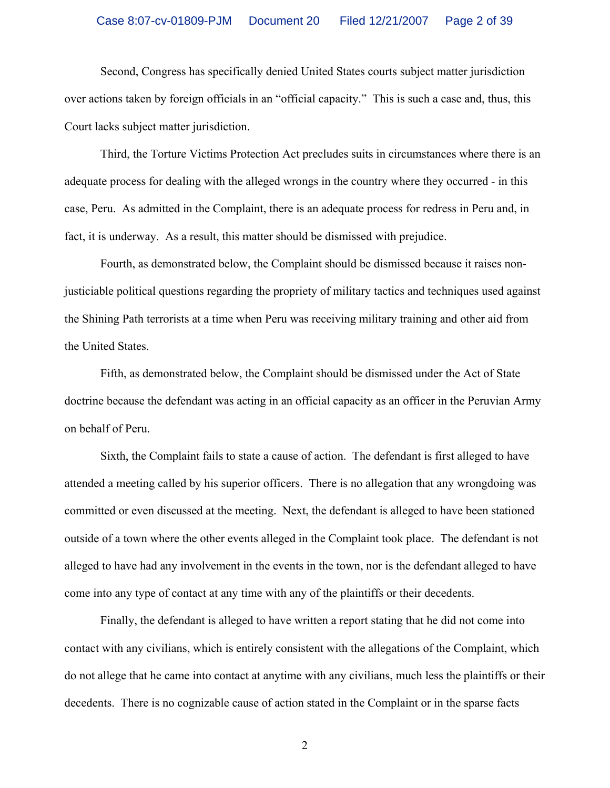#### Case 8:07-cv-01809-PJM Document 20 Filed 12/21/2007 Page 2 of 39

 Second, Congress has specifically denied United States courts subject matter jurisdiction over actions taken by foreign officials in an "official capacity." This is such a case and, thus, this Court lacks subject matter jurisdiction.

 Third, the Torture Victims Protection Act precludes suits in circumstances where there is an adequate process for dealing with the alleged wrongs in the country where they occurred - in this case, Peru. As admitted in the Complaint, there is an adequate process for redress in Peru and, in fact, it is underway. As a result, this matter should be dismissed with prejudice.

 Fourth, as demonstrated below, the Complaint should be dismissed because it raises nonjusticiable political questions regarding the propriety of military tactics and techniques used against the Shining Path terrorists at a time when Peru was receiving military training and other aid from the United States.

 Fifth, as demonstrated below, the Complaint should be dismissed under the Act of State doctrine because the defendant was acting in an official capacity as an officer in the Peruvian Army on behalf of Peru.

 Sixth, the Complaint fails to state a cause of action. The defendant is first alleged to have attended a meeting called by his superior officers. There is no allegation that any wrongdoing was committed or even discussed at the meeting. Next, the defendant is alleged to have been stationed outside of a town where the other events alleged in the Complaint took place. The defendant is not alleged to have had any involvement in the events in the town, nor is the defendant alleged to have come into any type of contact at any time with any of the plaintiffs or their decedents.

Finally, the defendant is alleged to have written a report stating that he did not come into contact with any civilians, which is entirely consistent with the allegations of the Complaint, which do not allege that he came into contact at anytime with any civilians, much less the plaintiffs or their decedents. There is no cognizable cause of action stated in the Complaint or in the sparse facts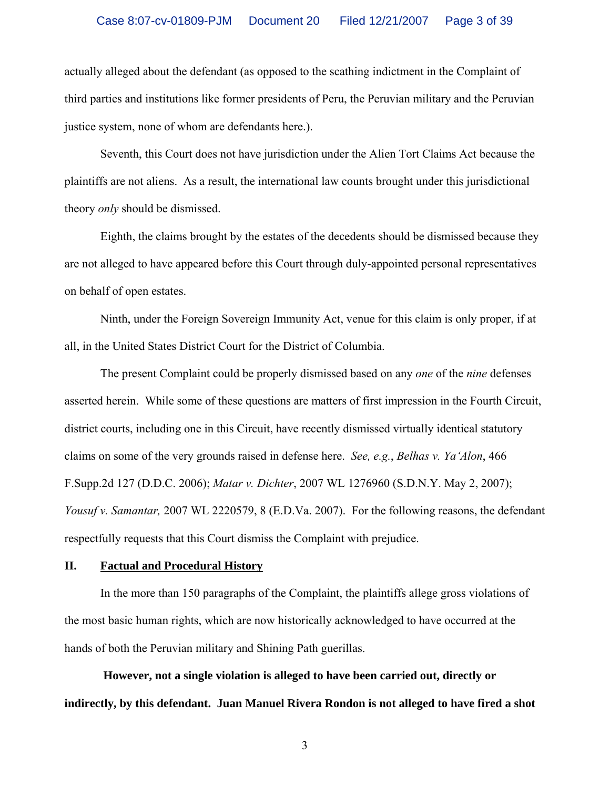actually alleged about the defendant (as opposed to the scathing indictment in the Complaint of third parties and institutions like former presidents of Peru, the Peruvian military and the Peruvian justice system, none of whom are defendants here.).

 Seventh, this Court does not have jurisdiction under the Alien Tort Claims Act because the plaintiffs are not aliens. As a result, the international law counts brought under this jurisdictional theory *only* should be dismissed.

 Eighth, the claims brought by the estates of the decedents should be dismissed because they are not alleged to have appeared before this Court through duly-appointed personal representatives on behalf of open estates.

 Ninth, under the Foreign Sovereign Immunity Act, venue for this claim is only proper, if at all, in the United States District Court for the District of Columbia.

 The present Complaint could be properly dismissed based on any *one* of the *nine* defenses asserted herein. While some of these questions are matters of first impression in the Fourth Circuit, district courts, including one in this Circuit, have recently dismissed virtually identical statutory claims on some of the very grounds raised in defense here. *See, e.g.*, *Belhas v. Ya'Alon*, 466 F.Supp.2d 127 (D.D.C. 2006); *Matar v. Dichter*, 2007 WL 1276960 (S.D.N.Y. May 2, 2007); *Yousuf v. Samantar,* 2007 WL 2220579, 8 (E.D.Va. 2007). For the following reasons, the defendant respectfully requests that this Court dismiss the Complaint with prejudice.

#### **II. Factual and Procedural History**

 In the more than 150 paragraphs of the Complaint, the plaintiffs allege gross violations of the most basic human rights, which are now historically acknowledged to have occurred at the hands of both the Peruvian military and Shining Path guerillas.

**However, not a single violation is alleged to have been carried out, directly or indirectly, by this defendant. Juan Manuel Rivera Rondon is not alleged to have fired a shot**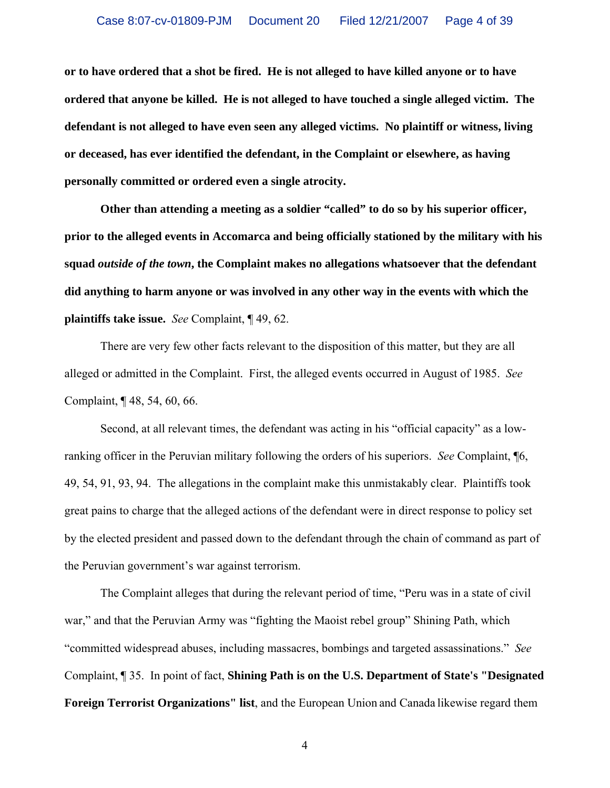**or to have ordered that a shot be fired. He is not alleged to have killed anyone or to have ordered that anyone be killed. He is not alleged to have touched a single alleged victim. The defendant is not alleged to have even seen any alleged victims. No plaintiff or witness, living or deceased, has ever identified the defendant, in the Complaint or elsewhere, as having personally committed or ordered even a single atrocity.** 

**Other than attending a meeting as a soldier "called" to do so by his superior officer, prior to the alleged events in Accomarca and being officially stationed by the military with his squad** *outside of the town***, the Complaint makes no allegations whatsoever that the defendant did anything to harm anyone or was involved in any other way in the events with which the plaintiffs take issue.** *See* Complaint, ¶ 49, 62.

 There are very few other facts relevant to the disposition of this matter, but they are all alleged or admitted in the Complaint. First, the alleged events occurred in August of 1985. *See* Complaint, ¶ 48, 54, 60, 66.

 Second, at all relevant times, the defendant was acting in his "official capacity" as a lowranking officer in the Peruvian military following the orders of his superiors. *See* Complaint, ¶6, 49, 54, 91, 93, 94. The allegations in the complaint make this unmistakably clear. Plaintiffs took great pains to charge that the alleged actions of the defendant were in direct response to policy set by the elected president and passed down to the defendant through the chain of command as part of the Peruvian government's war against terrorism.

 The Complaint alleges that during the relevant period of time, "Peru was in a state of civil war," and that the Peruvian Army was "fighting the Maoist rebel group" Shining Path, which "committed widespread abuses, including massacres, bombings and targeted assassinations." *See* Complaint, ¶ 35. In point of fact, **Shining Path is on the U.S. Department of State's "Designated Foreign Terrorist Organizations" list**, and the European Union and Canada likewise regard them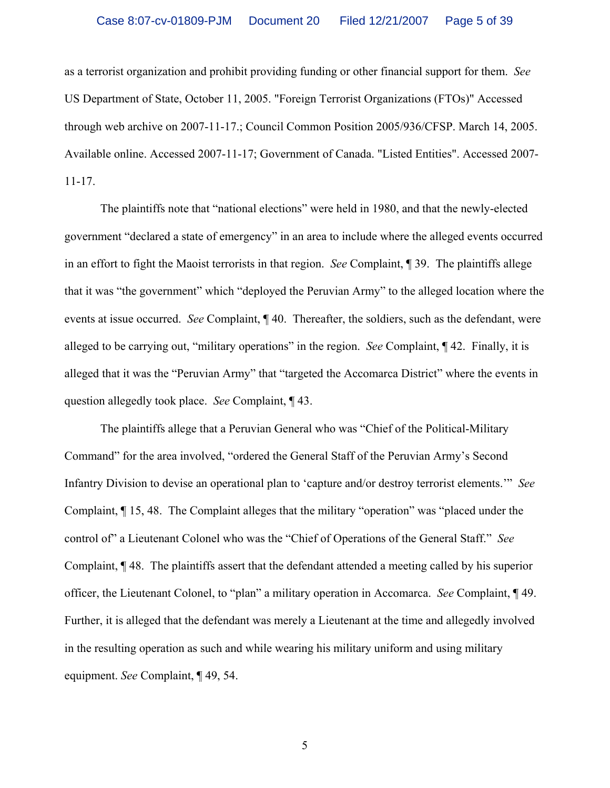as a terrorist organization and prohibit providing funding or other financial support for them. *See* US Department of State, October 11, 2005. "Foreign Terrorist Organizations (FTOs)" Accessed through web archive on 2007-11-17.; Council Common Position 2005/936/CFSP. March 14, 2005. Available online. Accessed 2007-11-17; Government of Canada. "Listed Entities". Accessed 2007- 11-17.

 The plaintiffs note that "national elections" were held in 1980, and that the newly-elected government "declared a state of emergency" in an area to include where the alleged events occurred in an effort to fight the Maoist terrorists in that region. *See* Complaint, ¶ 39. The plaintiffs allege that it was "the government" which "deployed the Peruvian Army" to the alleged location where the events at issue occurred. *See* Complaint, ¶ 40. Thereafter, the soldiers, such as the defendant, were alleged to be carrying out, "military operations" in the region. *See* Complaint, ¶ 42. Finally, it is alleged that it was the "Peruvian Army" that "targeted the Accomarca District" where the events in question allegedly took place. *See* Complaint, ¶ 43.

 The plaintiffs allege that a Peruvian General who was "Chief of the Political-Military Command" for the area involved, "ordered the General Staff of the Peruvian Army's Second Infantry Division to devise an operational plan to 'capture and/or destroy terrorist elements.'" *See* Complaint, ¶ 15, 48. The Complaint alleges that the military "operation" was "placed under the control of" a Lieutenant Colonel who was the "Chief of Operations of the General Staff." *See* Complaint, ¶ 48. The plaintiffs assert that the defendant attended a meeting called by his superior officer, the Lieutenant Colonel, to "plan" a military operation in Accomarca. *See* Complaint, ¶ 49. Further, it is alleged that the defendant was merely a Lieutenant at the time and allegedly involved in the resulting operation as such and while wearing his military uniform and using military equipment. *See* Complaint, ¶ 49, 54.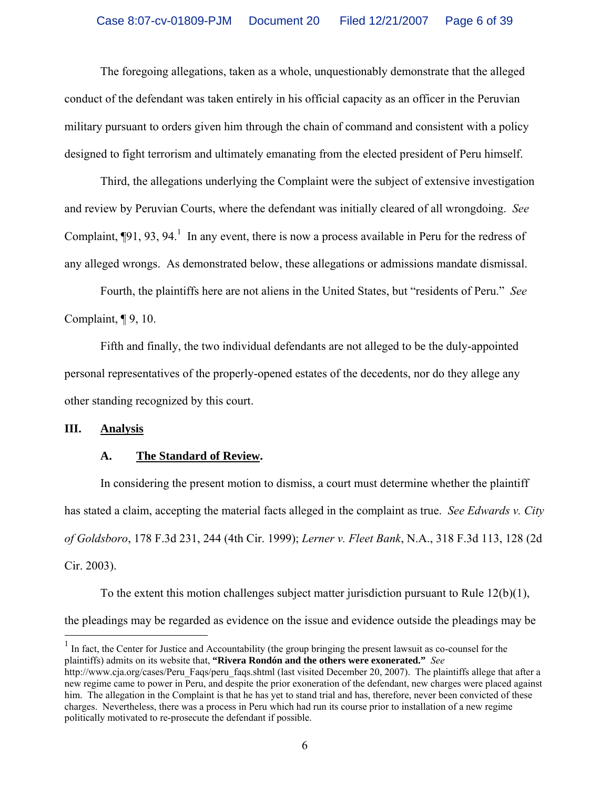The foregoing allegations, taken as a whole, unquestionably demonstrate that the alleged conduct of the defendant was taken entirely in his official capacity as an officer in the Peruvian military pursuant to orders given him through the chain of command and consistent with a policy designed to fight terrorism and ultimately emanating from the elected president of Peru himself.

 Third, the allegations underlying the Complaint were the subject of extensive investigation and review by Peruvian Courts, where the defendant was initially cleared of all wrongdoing. *See* Complaint,  $\P$ 91, 93, 94.<sup>1</sup> In any event, there is now a process available in Peru for the redress of any alleged wrongs. As demonstrated below, these allegations or admissions mandate dismissal.

 Fourth, the plaintiffs here are not aliens in the United States, but "residents of Peru." *See* Complaint, ¶ 9, 10.

 Fifth and finally, the two individual defendants are not alleged to be the duly-appointed personal representatives of the properly-opened estates of the decedents, nor do they allege any other standing recognized by this court.

#### **III. Analysis**

 $\overline{a}$ 

#### **A. The Standard of Review.**

 In considering the present motion to dismiss, a court must determine whether the plaintiff has stated a claim, accepting the material facts alleged in the complaint as true. *See Edwards v. City of Goldsboro*, 178 F.3d 231, 244 (4th Cir. 1999); *Lerner v. Fleet Bank*, N.A., 318 F.3d 113, 128 (2d Cir. 2003).

To the extent this motion challenges subject matter jurisdiction pursuant to Rule  $12(b)(1)$ , the pleadings may be regarded as evidence on the issue and evidence outside the pleadings may be

<sup>&</sup>lt;sup>1</sup> In fact, the Center for Justice and Accountability (the group bringing the present lawsuit as co-counsel for the plaintiffs) admits on its website that, **"Rivera Rondón and the others were exonerated."** *See*

http://www.cja.org/cases/Peru Faqs/peru faqs.shtml (last visited December 20, 2007). The plaintiffs allege that after a new regime came to power in Peru, and despite the prior exoneration of the defendant, new charges were placed against him. The allegation in the Complaint is that he has yet to stand trial and has, therefore, never been convicted of these charges. Nevertheless, there was a process in Peru which had run its course prior to installation of a new regime politically motivated to re-prosecute the defendant if possible.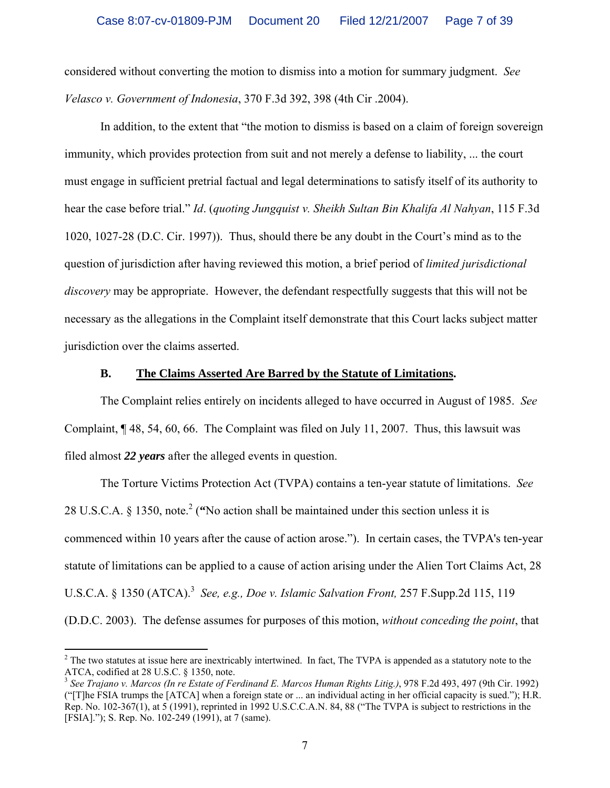considered without converting the motion to dismiss into a motion for summary judgment. *See Velasco v. Government of Indonesia*, 370 F.3d 392, 398 (4th Cir .2004).

 In addition, to the extent that "the motion to dismiss is based on a claim of foreign sovereign immunity, which provides protection from suit and not merely a defense to liability, ... the court must engage in sufficient pretrial factual and legal determinations to satisfy itself of its authority to hear the case before trial." *Id*. (*quoting Jungquist v. Sheikh Sultan Bin Khalifa Al Nahyan*, 115 F.3d 1020, 1027-28 (D.C. Cir. 1997)). Thus, should there be any doubt in the Court's mind as to the question of jurisdiction after having reviewed this motion, a brief period of *limited jurisdictional discovery* may be appropriate. However, the defendant respectfully suggests that this will not be necessary as the allegations in the Complaint itself demonstrate that this Court lacks subject matter jurisdiction over the claims asserted.

#### **B. The Claims Asserted Are Barred by the Statute of Limitations.**

 The Complaint relies entirely on incidents alleged to have occurred in August of 1985. *See* Complaint, ¶ 48, 54, 60, 66. The Complaint was filed on July 11, 2007. Thus, this lawsuit was filed almost *22 years* after the alleged events in question.

 The Torture Victims Protection Act (TVPA) contains a ten-year statute of limitations. *See* 28 U.S.C.A.  $\S$  1350, note.<sup>2</sup> ("No action shall be maintained under this section unless it is commenced within 10 years after the cause of action arose."). In certain cases, the TVPA's ten-year statute of limitations can be applied to a cause of action arising under the Alien Tort Claims Act, 28 U.S.C.A. § 1350 (ATCA).<sup>3</sup> See, e.g., Doe v. Islamic Salvation Front, 257 F.Supp.2d 115, 119 (D.D.C. 2003).The defense assumes for purposes of this motion, *without conceding the point*, that

 $\overline{a}$ 

 $2^2$  The two statutes at issue here are inextricably intertwined. In fact, The TVPA is appended as a statutory note to the ATCA, codified at 28 U.S.C. § 1350, note.

<sup>3</sup> *See Trajano v. Marcos (In re Estate of Ferdinand E. Marcos Human Rights Litig.)*, 978 F.2d 493, 497 (9th Cir. 1992) ("[T]he FSIA trumps the [ATCA] when a foreign state or ... an individual acting in her official capacity is sued."); H.R. Rep. No. 102-367(1), at 5 (1991), reprinted in 1992 U.S.C.C.A.N. 84, 88 ("The TVPA is subject to restrictions in the [FSIA]."); S. Rep. No. 102-249 (1991), at 7 (same).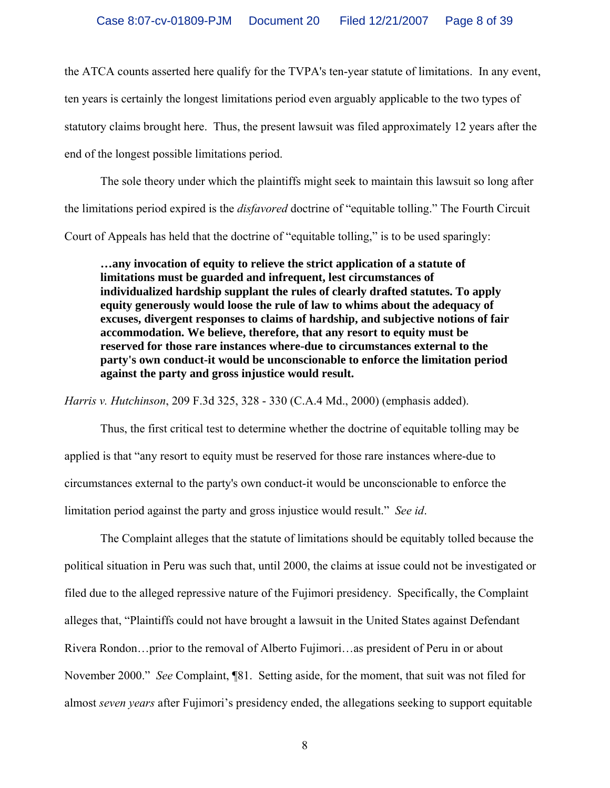the ATCA counts asserted here qualify for the TVPA's ten-year statute of limitations. In any event, ten years is certainly the longest limitations period even arguably applicable to the two types of statutory claims brought here.Thus, the present lawsuit was filed approximately 12 years after the end of the longest possible limitations period.

 The sole theory under which the plaintiffs might seek to maintain this lawsuit so long after the limitations period expired is the *disfavored* doctrine of "equitable tolling." The Fourth Circuit Court of Appeals has held that the doctrine of "equitable tolling," is to be used sparingly:

**…any invocation of equity to relieve the strict application of a statute of limitations must be guarded and infrequent, lest circumstances of individualized hardship supplant the rules of clearly drafted statutes. To apply equity generously would loose the rule of law to whims about the adequacy of excuses, divergent responses to claims of hardship, and subjective notions of fair accommodation. We believe, therefore, that any resort to equity must be reserved for those rare instances where-due to circumstances external to the party's own conduct-it would be unconscionable to enforce the limitation period against the party and gross injustice would result.** 

*Harris v. Hutchinson*, 209 F.3d 325, 328 - 330 (C.A.4 Md., 2000) (emphasis added).

 Thus, the first critical test to determine whether the doctrine of equitable tolling may be applied is that "any resort to equity must be reserved for those rare instances where-due to circumstances external to the party's own conduct-it would be unconscionable to enforce the limitation period against the party and gross injustice would result." *See id*.

 The Complaint alleges that the statute of limitations should be equitably tolled because the political situation in Peru was such that, until 2000, the claims at issue could not be investigated or filed due to the alleged repressive nature of the Fujimori presidency. Specifically, the Complaint alleges that, "Plaintiffs could not have brought a lawsuit in the United States against Defendant Rivera Rondon…prior to the removal of Alberto Fujimori…as president of Peru in or about November 2000." *See* Complaint, ¶81. Setting aside, for the moment, that suit was not filed for almost *seven years* after Fujimori's presidency ended, the allegations seeking to support equitable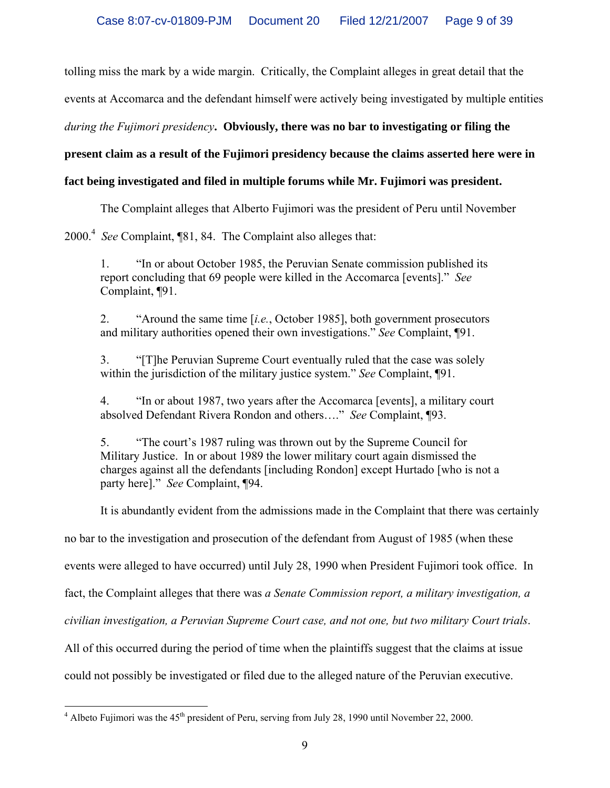tolling miss the mark by a wide margin. Critically, the Complaint alleges in great detail that the

events at Accomarca and the defendant himself were actively being investigated by multiple entities

*during the Fujimori presidency***. Obviously, there was no bar to investigating or filing the** 

# **present claim as a result of the Fujimori presidency because the claims asserted here were in**

# **fact being investigated and filed in multiple forums while Mr. Fujimori was president.**

The Complaint alleges that Alberto Fujimori was the president of Peru until November

2000.4 *See* Complaint, ¶81, 84. The Complaint also alleges that:

1. "In or about October 1985, the Peruvian Senate commission published its report concluding that 69 people were killed in the Accomarca [events]." *See* Complaint, ¶91.

2. "Around the same time [*i.e.*, October 1985], both government prosecutors and military authorities opened their own investigations." *See* Complaint, ¶91.

3. "[T]he Peruvian Supreme Court eventually ruled that the case was solely within the jurisdiction of the military justice system." *See* Complaint, ¶91.

4. "In or about 1987, two years after the Accomarca [events], a military court absolved Defendant Rivera Rondon and others…." *See* Complaint, ¶93.

5. "The court's 1987 ruling was thrown out by the Supreme Council for Military Justice. In or about 1989 the lower military court again dismissed the charges against all the defendants [including Rondon] except Hurtado [who is not a party here]." *See* Complaint, ¶94.

It is abundantly evident from the admissions made in the Complaint that there was certainly

no bar to the investigation and prosecution of the defendant from August of 1985 (when these

events were alleged to have occurred) until July 28, 1990 when President Fujimori took office. In

fact, the Complaint alleges that there was *a Senate Commission report, a military investigation, a* 

*civilian investigation, a Peruvian Supreme Court case, and not one, but two military Court trials*.

All of this occurred during the period of time when the plaintiffs suggest that the claims at issue

could not possibly be investigated or filed due to the alleged nature of the Peruvian executive.

<sup>&</sup>lt;sup>4</sup> Albeto Fujimori was the 45<sup>th</sup> president of Peru, serving from July 28, 1990 until November 22, 2000.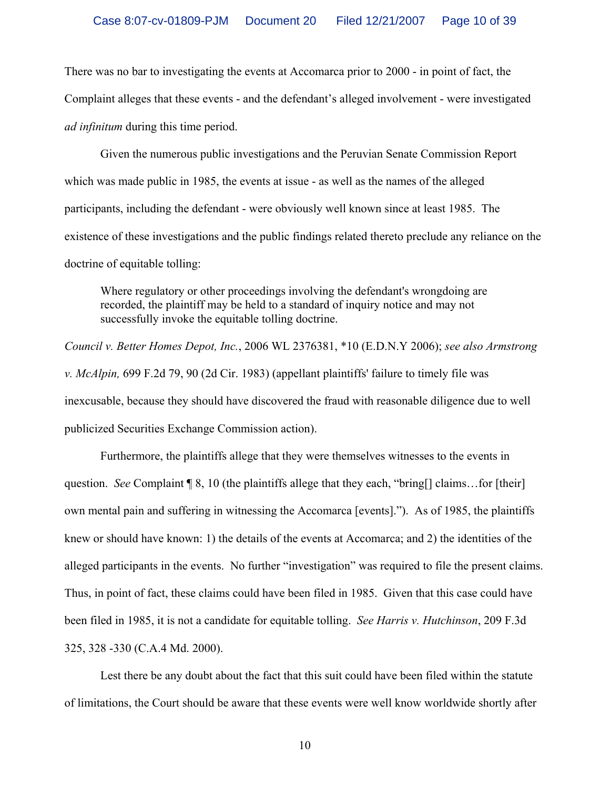There was no bar to investigating the events at Accomarca prior to 2000 - in point of fact, the Complaint alleges that these events - and the defendant's alleged involvement - were investigated *ad infinitum* during this time period.

 Given the numerous public investigations and the Peruvian Senate Commission Report which was made public in 1985, the events at issue - as well as the names of the alleged participants, including the defendant - were obviously well known since at least 1985. The existence of these investigations and the public findings related thereto preclude any reliance on the doctrine of equitable tolling:

Where regulatory or other proceedings involving the defendant's wrongdoing are recorded, the plaintiff may be held to a standard of inquiry notice and may not successfully invoke the equitable tolling doctrine.

*Council v. Better Homes Depot, Inc.*, 2006 WL 2376381, \*10 (E.D.N.Y 2006); *see also Armstrong v. McAlpin,* 699 F.2d 79, 90 (2d Cir. 1983) (appellant plaintiffs' failure to timely file was inexcusable, because they should have discovered the fraud with reasonable diligence due to well publicized Securities Exchange Commission action).

 Furthermore, the plaintiffs allege that they were themselves witnesses to the events in question. *See* Complaint ¶ 8, 10 (the plaintiffs allege that they each, "bring[] claims…for [their] own mental pain and suffering in witnessing the Accomarca [events]."). As of 1985, the plaintiffs knew or should have known: 1) the details of the events at Accomarca; and 2) the identities of the alleged participants in the events. No further "investigation" was required to file the present claims. Thus, in point of fact, these claims could have been filed in 1985. Given that this case could have been filed in 1985, it is not a candidate for equitable tolling. *See Harris v. Hutchinson*, 209 F.3d 325, 328 -330 (C.A.4 Md. 2000).

 Lest there be any doubt about the fact that this suit could have been filed within the statute of limitations, the Court should be aware that these events were well know worldwide shortly after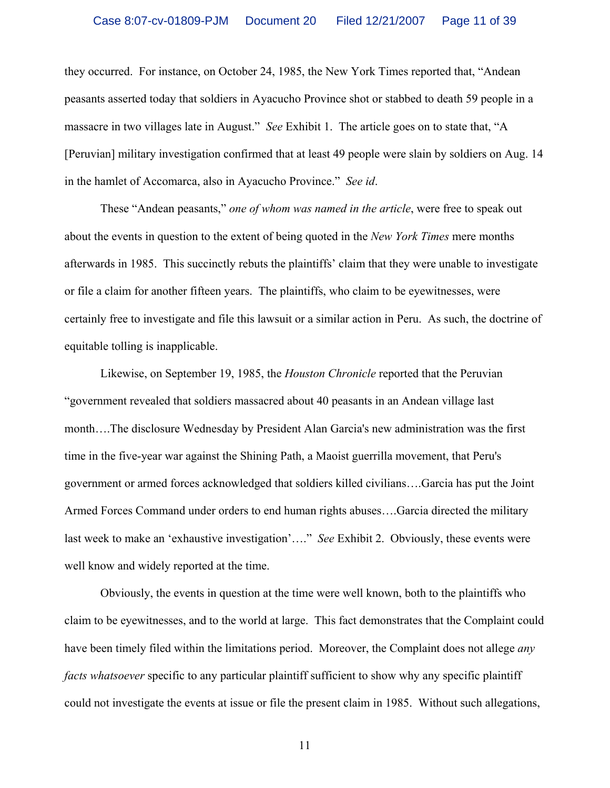they occurred. For instance, on October 24, 1985, the New York Times reported that, "Andean peasants asserted today that soldiers in Ayacucho Province shot or stabbed to death 59 people in a massacre in two villages late in August." *See* Exhibit 1. The article goes on to state that, "A [Peruvian] military investigation confirmed that at least 49 people were slain by soldiers on Aug. 14 in the hamlet of Accomarca, also in Ayacucho Province." *See id*.

 These "Andean peasants," *one of whom was named in the article*, were free to speak out about the events in question to the extent of being quoted in the *New York Times* mere months afterwards in 1985. This succinctly rebuts the plaintiffs' claim that they were unable to investigate or file a claim for another fifteen years. The plaintiffs, who claim to be eyewitnesses, were certainly free to investigate and file this lawsuit or a similar action in Peru. As such, the doctrine of equitable tolling is inapplicable.

 Likewise, on September 19, 1985, the *Houston Chronicle* reported that the Peruvian "government revealed that soldiers massacred about 40 peasants in an Andean village last month….The disclosure Wednesday by President Alan Garcia's new administration was the first time in the five-year war against the Shining Path, a Maoist guerrilla movement, that Peru's government or armed forces acknowledged that soldiers killed civilians….Garcia has put the Joint Armed Forces Command under orders to end human rights abuses….Garcia directed the military last week to make an 'exhaustive investigation'…." *See* Exhibit 2. Obviously, these events were well know and widely reported at the time.

 Obviously, the events in question at the time were well known, both to the plaintiffs who claim to be eyewitnesses, and to the world at large. This fact demonstrates that the Complaint could have been timely filed within the limitations period. Moreover, the Complaint does not allege *any facts whatsoever* specific to any particular plaintiff sufficient to show why any specific plaintiff could not investigate the events at issue or file the present claim in 1985. Without such allegations,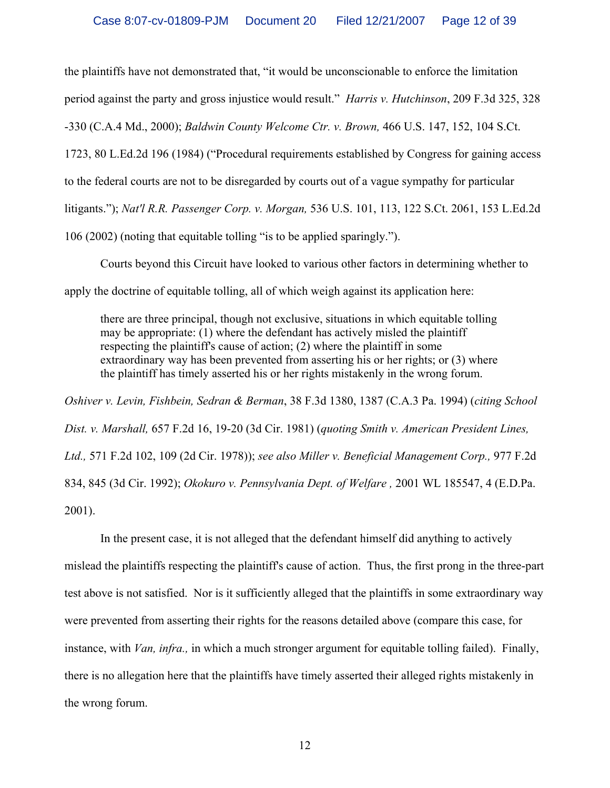the plaintiffs have not demonstrated that, "it would be unconscionable to enforce the limitation

period against the party and gross injustice would result." *Harris v. Hutchinson*, 209 F.3d 325, 328

-330 (C.A.4 Md., 2000); *Baldwin County Welcome Ctr. v. Brown,* 466 U.S. 147, 152, 104 S.Ct.

1723, 80 L.Ed.2d 196 (1984) ("Procedural requirements established by Congress for gaining access

to the federal courts are not to be disregarded by courts out of a vague sympathy for particular

litigants."); *Nat'l R.R. Passenger Corp. v. Morgan,* 536 U.S. 101, 113, 122 S.Ct. 2061, 153 L.Ed.2d

106 (2002) (noting that equitable tolling "is to be applied sparingly.").

 Courts beyond this Circuit have looked to various other factors in determining whether to apply the doctrine of equitable tolling, all of which weigh against its application here:

there are three principal, though not exclusive, situations in which equitable tolling may be appropriate: (1) where the defendant has actively misled the plaintiff respecting the plaintiff's cause of action; (2) where the plaintiff in some extraordinary way has been prevented from asserting his or her rights; or (3) where the plaintiff has timely asserted his or her rights mistakenly in the wrong forum.

*Oshiver v. Levin, Fishbein, Sedran & Berman*, 38 F.3d 1380, 1387 (C.A.3 Pa. 1994) (*citing School Dist. v. Marshall,* 657 F.2d 16, 19-20 (3d Cir. 1981) (*quoting Smith v. American President Lines, Ltd.,* 571 F.2d 102, 109 (2d Cir. 1978)); *see also Miller v. Beneficial Management Corp.,* 977 F.2d 834, 845 (3d Cir. 1992); *Okokuro v. Pennsylvania Dept. of Welfare ,* 2001 WL 185547, 4 (E.D.Pa. 2001).

 In the present case, it is not alleged that the defendant himself did anything to actively mislead the plaintiffs respecting the plaintiff's cause of action. Thus, the first prong in the three-part test above is not satisfied. Nor is it sufficiently alleged that the plaintiffs in some extraordinary way were prevented from asserting their rights for the reasons detailed above (compare this case, for instance, with *Van, infra.,* in which a much stronger argument for equitable tolling failed). Finally, there is no allegation here that the plaintiffs have timely asserted their alleged rights mistakenly in the wrong forum.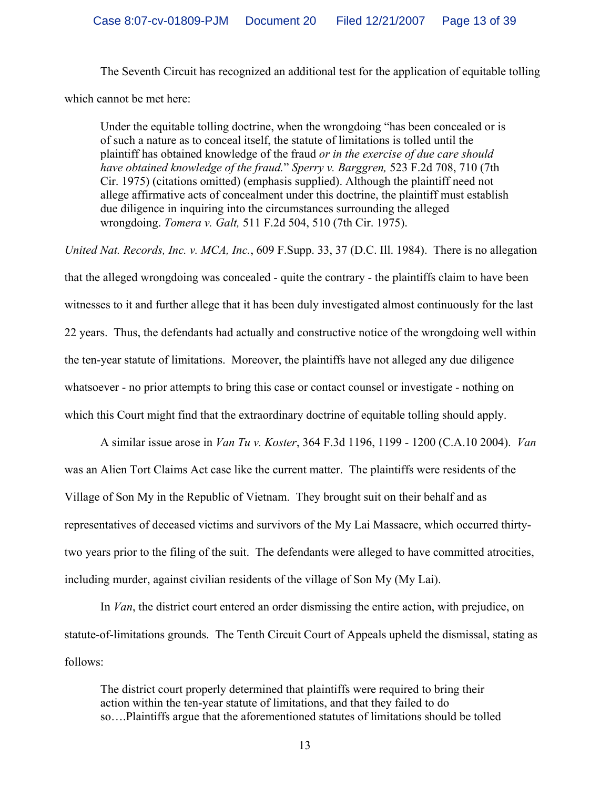The Seventh Circuit has recognized an additional test for the application of equitable tolling which cannot be met here:

Under the equitable tolling doctrine, when the wrongdoing "has been concealed or is of such a nature as to conceal itself, the statute of limitations is tolled until the plaintiff has obtained knowledge of the fraud *or in the exercise of due care should have obtained knowledge of the fraud.*" *Sperry v. Barggren,* 523 F.2d 708, 710 (7th Cir. 1975) (citations omitted) (emphasis supplied). Although the plaintiff need not allege affirmative acts of concealment under this doctrine, the plaintiff must establish due diligence in inquiring into the circumstances surrounding the alleged wrongdoing. *Tomera v. Galt,* 511 F.2d 504, 510 (7th Cir. 1975).

*United Nat. Records, Inc. v. MCA, Inc.*, 609 F.Supp. 33, 37 (D.C. Ill. 1984). There is no allegation that the alleged wrongdoing was concealed - quite the contrary - the plaintiffs claim to have been witnesses to it and further allege that it has been duly investigated almost continuously for the last 22 years. Thus, the defendants had actually and constructive notice of the wrongdoing well within the ten-year statute of limitations. Moreover, the plaintiffs have not alleged any due diligence whatsoever - no prior attempts to bring this case or contact counsel or investigate - nothing on which this Court might find that the extraordinary doctrine of equitable tolling should apply.

 A similar issue arose in *Van Tu v. Koster*, 364 F.3d 1196, 1199 - 1200 (C.A.10 2004). *Van* was an Alien Tort Claims Act case like the current matter. The plaintiffs were residents of the Village of Son My in the Republic of Vietnam. They brought suit on their behalf and as representatives of deceased victims and survivors of the My Lai Massacre, which occurred thirtytwo years prior to the filing of the suit. The defendants were alleged to have committed atrocities, including murder, against civilian residents of the village of Son My (My Lai).

 In *Van*, the district court entered an order dismissing the entire action, with prejudice, on statute-of-limitations grounds. The Tenth Circuit Court of Appeals upheld the dismissal, stating as follows:

The district court properly determined that plaintiffs were required to bring their action within the ten-year statute of limitations, and that they failed to do so….Plaintiffs argue that the aforementioned statutes of limitations should be tolled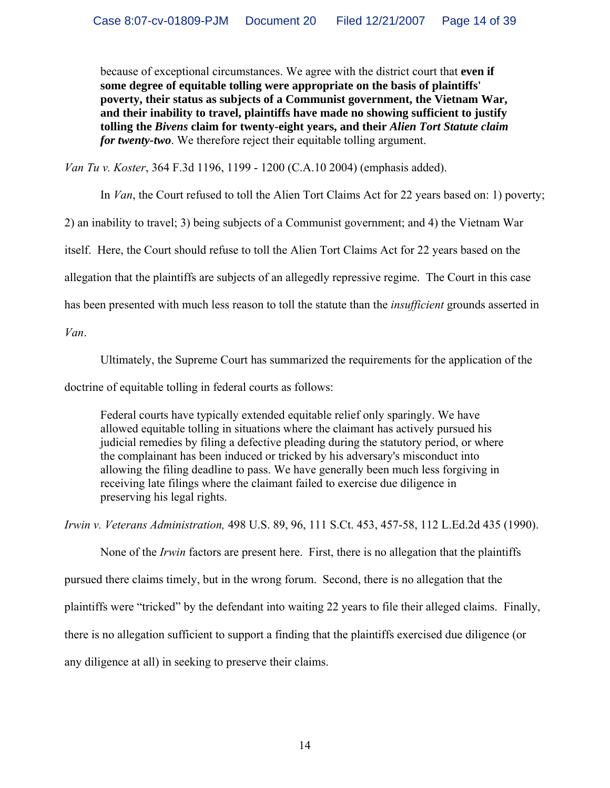because of exceptional circumstances. We agree with the district court that **even if some degree of equitable tolling were appropriate on the basis of plaintiffs' poverty, their status as subjects of a Communist government, the Vietnam War, and their inability to travel, plaintiffs have made no showing sufficient to justify tolling the** *Bivens* **claim for twenty-eight years, and their** *Alien Tort Statute claim for twenty-two*. We therefore reject their equitable tolling argument.

*Van Tu v. Koster*, 364 F.3d 1196, 1199 - 1200 (C.A.10 2004) (emphasis added).

In *Van*, the Court refused to toll the Alien Tort Claims Act for 22 years based on: 1) poverty;

2) an inability to travel; 3) being subjects of a Communist government; and 4) the Vietnam War

itself. Here, the Court should refuse to toll the Alien Tort Claims Act for 22 years based on the

allegation that the plaintiffs are subjects of an allegedly repressive regime. The Court in this case

has been presented with much less reason to toll the statute than the *insufficient* grounds asserted in

*Van*.

Ultimately, the Supreme Court has summarized the requirements for the application of the

doctrine of equitable tolling in federal courts as follows:

Federal courts have typically extended equitable relief only sparingly. We have allowed equitable tolling in situations where the claimant has actively pursued his judicial remedies by filing a defective pleading during the statutory period, or where the complainant has been induced or tricked by his adversary's misconduct into allowing the filing deadline to pass. We have generally been much less forgiving in receiving late filings where the claimant failed to exercise due diligence in preserving his legal rights.

*Irwin v. Veterans Administration,* 498 U.S. 89, 96, 111 S.Ct. 453, 457-58, 112 L.Ed.2d 435 (1990).

None of the *Irwin* factors are present here. First, there is no allegation that the plaintiffs pursued there claims timely, but in the wrong forum. Second, there is no allegation that the plaintiffs were "tricked" by the defendant into waiting 22 years to file their alleged claims. Finally, there is no allegation sufficient to support a finding that the plaintiffs exercised due diligence (or any diligence at all) in seeking to preserve their claims.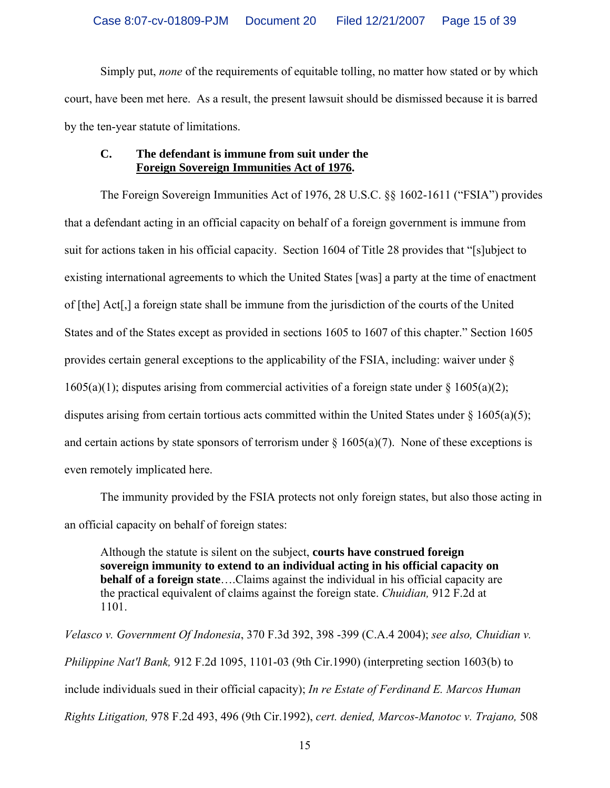Simply put, *none* of the requirements of equitable tolling, no matter how stated or by which court, have been met here. As a result, the present lawsuit should be dismissed because it is barred by the ten-year statute of limitations.

#### **C. The defendant is immune from suit under the Foreign Sovereign Immunities Act of 1976.**

 The Foreign Sovereign Immunities Act of 1976, 28 U.S.C. §§ 1602-1611 ("FSIA") provides that a defendant acting in an official capacity on behalf of a foreign government is immune from suit for actions taken in his official capacity. Section 1604 of Title 28 provides that "[s]ubject to existing international agreements to which the United States [was] a party at the time of enactment of [the] Act[,] a foreign state shall be immune from the jurisdiction of the courts of the United States and of the States except as provided in sections 1605 to 1607 of this chapter." Section 1605 provides certain general exceptions to the applicability of the FSIA, including: waiver under §  $1605(a)(1)$ ; disputes arising from commercial activities of a foreign state under §  $1605(a)(2)$ ; disputes arising from certain tortious acts committed within the United States under  $\S 1605(a)(5)$ ; and certain actions by state sponsors of terrorism under  $\S 1605(a)(7)$ . None of these exceptions is even remotely implicated here.

 The immunity provided by the FSIA protects not only foreign states, but also those acting in an official capacity on behalf of foreign states:

Although the statute is silent on the subject, **courts have construed foreign sovereign immunity to extend to an individual acting in his official capacity on behalf of a foreign state**….Claims against the individual in his official capacity are the practical equivalent of claims against the foreign state. *Chuidian,* 912 F.2d at 1101.

*Velasco v. Government Of Indonesia*, 370 F.3d 392, 398 -399 (C.A.4 2004); *see also, Chuidian v. Philippine Nat'l Bank,* 912 F.2d 1095, 1101-03 (9th Cir.1990) (interpreting section 1603(b) to include individuals sued in their official capacity); *In re Estate of Ferdinand E. Marcos Human Rights Litigation,* 978 F.2d 493, 496 (9th Cir.1992), *cert. denied, Marcos-Manotoc v. Trajano,* 508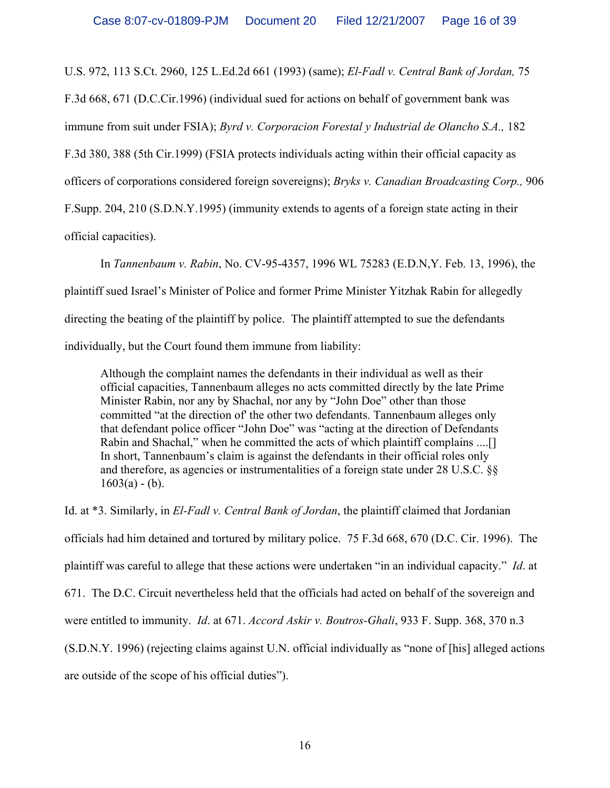U.S. 972, 113 S.Ct. 2960, 125 L.Ed.2d 661 (1993) (same); *El-Fadl v. Central Bank of Jordan,* 75

F.3d 668, 671 (D.C.Cir.1996) (individual sued for actions on behalf of government bank was

immune from suit under FSIA); *Byrd v. Corporacion Forestal y Industrial de Olancho S.A.,* 182

F.3d 380, 388 (5th Cir.1999) (FSIA protects individuals acting within their official capacity as

officers of corporations considered foreign sovereigns); *Bryks v. Canadian Broadcasting Corp.,* 906

F.Supp. 204, 210 (S.D.N.Y.1995) (immunity extends to agents of a foreign state acting in their

official capacities).

 In *Tannenbaum v. Rabin*, No. CV-95-4357, 1996 WL 75283 (E.D.N,Y. Feb. 13, 1996), the plaintiff sued Israel's Minister of Police and former Prime Minister Yitzhak Rabin for allegedly directing the beating of the plaintiff by police. The plaintiff attempted to sue the defendants individually, but the Court found them immune from liability:

Although the complaint names the defendants in their individual as well as their official capacities, Tannenbaum alleges no acts committed directly by the late Prime Minister Rabin, nor any by Shachal, nor any by "John Doe" other than those committed "at the direction of' the other two defendants. Tannenbaum alleges only that defendant police officer "John Doe" was "acting at the direction of Defendants Rabin and Shachal," when he committed the acts of which plaintiff complains ....[] In short, Tannenbaum's claim is against the defendants in their official roles only and therefore, as agencies or instrumentalities of a foreign state under 28 U.S.C. §§  $1603(a) - (b)$ .

Id. at \*3. Similarly, in *El-Fadl v. Central Bank of Jordan*, the plaintiff claimed that Jordanian officials had him detained and tortured by military police. 75 F.3d 668, 670 (D.C. Cir. 1996). The plaintiff was careful to allege that these actions were undertaken "in an individual capacity." *Id*. at 671. The D.C. Circuit nevertheless held that the officials had acted on behalf of the sovereign and were entitled to immunity. *Id*. at 671. *Accord Askir v. Boutros-Ghali*, 933 F. Supp. 368, 370 n.3 (S.D.N.Y. 1996) (rejecting claims against U.N. official individually as "none of [his] alleged actions are outside of the scope of his official duties").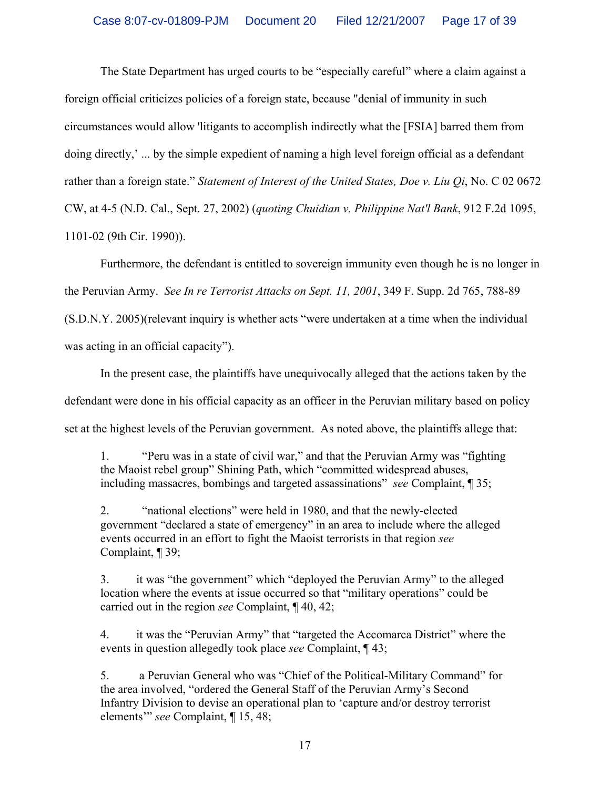The State Department has urged courts to be "especially careful" where a claim against a foreign official criticizes policies of a foreign state, because "denial of immunity in such circumstances would allow 'litigants to accomplish indirectly what the [FSIA] barred them from doing directly,' ... by the simple expedient of naming a high level foreign official as a defendant rather than a foreign state." *Statement of Interest of the United States, Doe v. Liu Qi*, No. C 02 0672 CW, at 4-5 (N.D. Cal., Sept. 27, 2002) (*quoting Chuidian v. Philippine Nat'l Bank*, 912 F.2d 1095, 1101-02 (9th Cir. 1990)).

 Furthermore, the defendant is entitled to sovereign immunity even though he is no longer in the Peruvian Army. *See In re Terrorist Attacks on Sept. 11, 2001*, 349 F. Supp. 2d 765, 788-89 (S.D.N.Y. 2005)(relevant inquiry is whether acts "were undertaken at a time when the individual was acting in an official capacity").

 In the present case, the plaintiffs have unequivocally alleged that the actions taken by the defendant were done in his official capacity as an officer in the Peruvian military based on policy set at the highest levels of the Peruvian government. As noted above, the plaintiffs allege that:

1. "Peru was in a state of civil war," and that the Peruvian Army was "fighting the Maoist rebel group" Shining Path, which "committed widespread abuses, including massacres, bombings and targeted assassinations" *see* Complaint, ¶ 35;

2. "national elections" were held in 1980, and that the newly-elected government "declared a state of emergency" in an area to include where the alleged events occurred in an effort to fight the Maoist terrorists in that region *see* Complaint, ¶ 39;

3. it was "the government" which "deployed the Peruvian Army" to the alleged location where the events at issue occurred so that "military operations" could be carried out in the region *see* Complaint, ¶ 40, 42;

4. it was the "Peruvian Army" that "targeted the Accomarca District" where the events in question allegedly took place *see* Complaint, ¶ 43;

5. a Peruvian General who was "Chief of the Political-Military Command" for the area involved, "ordered the General Staff of the Peruvian Army's Second Infantry Division to devise an operational plan to 'capture and/or destroy terrorist elements'" *see* Complaint, ¶ 15, 48;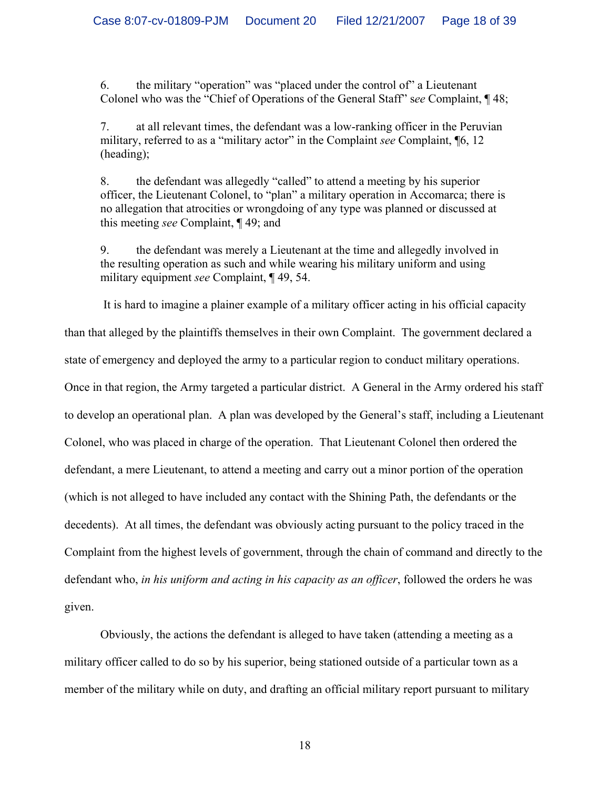6. the military "operation" was "placed under the control of" a Lieutenant Colonel who was the "Chief of Operations of the General Staff" s*ee* Complaint, ¶ 48;

7. at all relevant times, the defendant was a low-ranking officer in the Peruvian military, referred to as a "military actor" in the Complaint *see* Complaint, ¶6, 12 (heading);

8. the defendant was allegedly "called" to attend a meeting by his superior officer, the Lieutenant Colonel, to "plan" a military operation in Accomarca; there is no allegation that atrocities or wrongdoing of any type was planned or discussed at this meeting *see* Complaint, ¶ 49; and

9. the defendant was merely a Lieutenant at the time and allegedly involved in the resulting operation as such and while wearing his military uniform and using military equipment *see* Complaint, ¶ 49, 54.

 It is hard to imagine a plainer example of a military officer acting in his official capacity than that alleged by the plaintiffs themselves in their own Complaint. The government declared a state of emergency and deployed the army to a particular region to conduct military operations. Once in that region, the Army targeted a particular district. A General in the Army ordered his staff to develop an operational plan. A plan was developed by the General's staff, including a Lieutenant Colonel, who was placed in charge of the operation. That Lieutenant Colonel then ordered the defendant, a mere Lieutenant, to attend a meeting and carry out a minor portion of the operation (which is not alleged to have included any contact with the Shining Path, the defendants or the decedents). At all times, the defendant was obviously acting pursuant to the policy traced in the Complaint from the highest levels of government, through the chain of command and directly to the defendant who, *in his uniform and acting in his capacity as an officer*, followed the orders he was given.

 Obviously, the actions the defendant is alleged to have taken (attending a meeting as a military officer called to do so by his superior, being stationed outside of a particular town as a member of the military while on duty, and drafting an official military report pursuant to military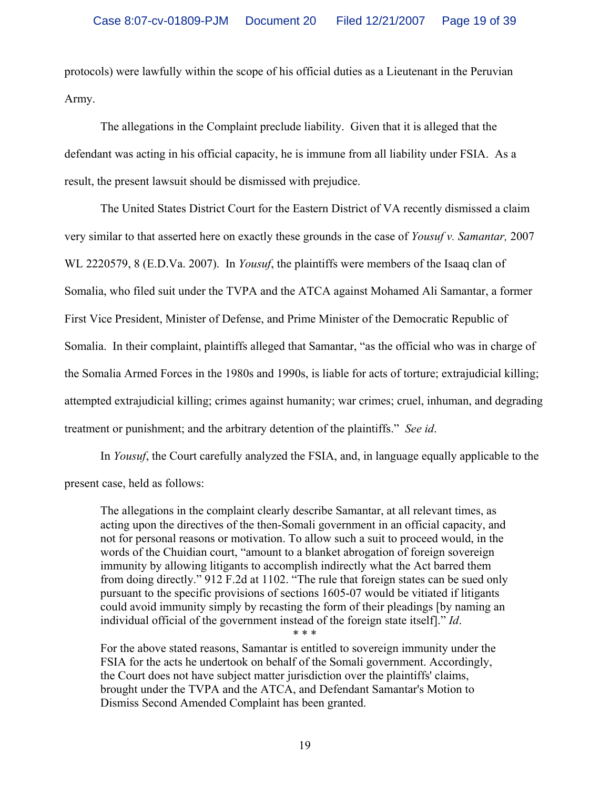protocols) were lawfully within the scope of his official duties as a Lieutenant in the Peruvian Army.

 The allegations in the Complaint preclude liability. Given that it is alleged that the defendant was acting in his official capacity, he is immune from all liability under FSIA. As a result, the present lawsuit should be dismissed with prejudice.

 The United States District Court for the Eastern District of VA recently dismissed a claim very similar to that asserted here on exactly these grounds in the case of *Yousuf v. Samantar,* 2007 WL 2220579, 8 (E.D.Va. 2007). In *Yousuf*, the plaintiffs were members of the Isaaq clan of Somalia, who filed suit under the TVPA and the ATCA against Mohamed Ali Samantar, a former First Vice President, Minister of Defense, and Prime Minister of the Democratic Republic of Somalia. In their complaint, plaintiffs alleged that Samantar, "as the official who was in charge of the Somalia Armed Forces in the 1980s and 1990s, is liable for acts of torture; extrajudicial killing; attempted extrajudicial killing; crimes against humanity; war crimes; cruel, inhuman, and degrading treatment or punishment; and the arbitrary detention of the plaintiffs." *See id*.

 In *Yousuf*, the Court carefully analyzed the FSIA, and, in language equally applicable to the present case, held as follows:

The allegations in the complaint clearly describe Samantar, at all relevant times, as acting upon the directives of the then-Somali government in an official capacity, and not for personal reasons or motivation. To allow such a suit to proceed would, in the words of the Chuidian court, "amount to a blanket abrogation of foreign sovereign immunity by allowing litigants to accomplish indirectly what the Act barred them from doing directly." 912 F.2d at 1102. "The rule that foreign states can be sued only pursuant to the specific provisions of sections 1605-07 would be vitiated if litigants could avoid immunity simply by recasting the form of their pleadings [by naming an individual official of the government instead of the foreign state itself]." *Id*. \* \* \*

For the above stated reasons, Samantar is entitled to sovereign immunity under the FSIA for the acts he undertook on behalf of the Somali government. Accordingly, the Court does not have subject matter jurisdiction over the plaintiffs' claims, brought under the TVPA and the ATCA, and Defendant Samantar's Motion to Dismiss Second Amended Complaint has been granted.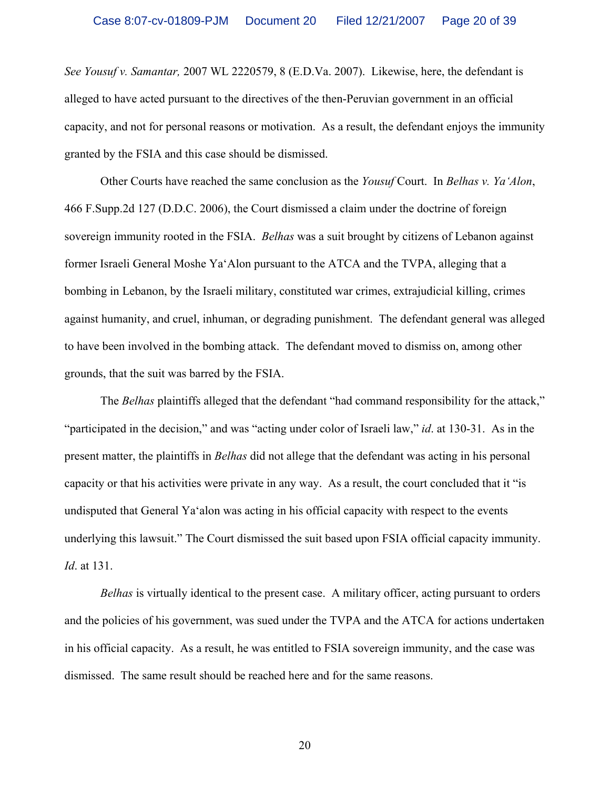*See Yousuf v. Samantar,* 2007 WL 2220579, 8 (E.D.Va. 2007). Likewise, here, the defendant is alleged to have acted pursuant to the directives of the then-Peruvian government in an official capacity, and not for personal reasons or motivation. As a result, the defendant enjoys the immunity granted by the FSIA and this case should be dismissed.

 Other Courts have reached the same conclusion as the *Yousuf* Court. In *Belhas v. Ya'Alon*, 466 F.Supp.2d 127 (D.D.C. 2006), the Court dismissed a claim under the doctrine of foreign sovereign immunity rooted in the FSIA. *Belhas* was a suit brought by citizens of Lebanon against former Israeli General Moshe Ya'Alon pursuant to the ATCA and the TVPA, alleging that a bombing in Lebanon, by the Israeli military, constituted war crimes, extrajudicial killing, crimes against humanity, and cruel, inhuman, or degrading punishment. The defendant general was alleged to have been involved in the bombing attack. The defendant moved to dismiss on, among other grounds, that the suit was barred by the FSIA.

 The *Belhas* plaintiffs alleged that the defendant "had command responsibility for the attack," "participated in the decision," and was "acting under color of Israeli law," *id*. at 130-31. As in the present matter, the plaintiffs in *Belhas* did not allege that the defendant was acting in his personal capacity or that his activities were private in any way. As a result, the court concluded that it "is undisputed that General Ya'alon was acting in his official capacity with respect to the events underlying this lawsuit." The Court dismissed the suit based upon FSIA official capacity immunity. *Id*. at 131.

*Belhas* is virtually identical to the present case. A military officer, acting pursuant to orders and the policies of his government, was sued under the TVPA and the ATCA for actions undertaken in his official capacity. As a result, he was entitled to FSIA sovereign immunity, and the case was dismissed. The same result should be reached here and for the same reasons.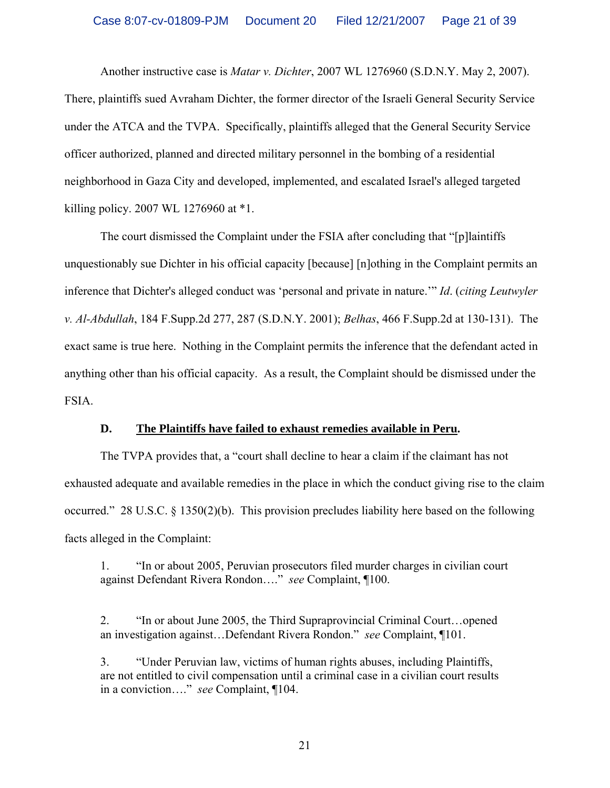Another instructive case is *Matar v. Dichter*, 2007 WL 1276960 (S.D.N.Y. May 2, 2007). There, plaintiffs sued Avraham Dichter, the former director of the Israeli General Security Service under the ATCA and the TVPA. Specifically, plaintiffs alleged that the General Security Service officer authorized, planned and directed military personnel in the bombing of a residential neighborhood in Gaza City and developed, implemented, and escalated Israel's alleged targeted killing policy. 2007 WL 1276960 at \*1.

 The court dismissed the Complaint under the FSIA after concluding that "[p]laintiffs unquestionably sue Dichter in his official capacity [because] [n]othing in the Complaint permits an inference that Dichter's alleged conduct was 'personal and private in nature.'" *Id*. (*citing Leutwyler v. Al-Abdullah*, 184 F.Supp.2d 277, 287 (S.D.N.Y. 2001); *Belhas*, 466 F.Supp.2d at 130-131). The exact same is true here. Nothing in the Complaint permits the inference that the defendant acted in anything other than his official capacity. As a result, the Complaint should be dismissed under the FSIA.

#### **D. The Plaintiffs have failed to exhaust remedies available in Peru.**

 The TVPA provides that, a "court shall decline to hear a claim if the claimant has not exhausted adequate and available remedies in the place in which the conduct giving rise to the claim occurred." 28 U.S.C. § 1350(2)(b). This provision precludes liability here based on the following facts alleged in the Complaint:

1. "In or about 2005, Peruvian prosecutors filed murder charges in civilian court against Defendant Rivera Rondon…." *see* Complaint, ¶100.

2. "In or about June 2005, the Third Supraprovincial Criminal Court…opened an investigation against…Defendant Rivera Rondon." *see* Complaint, ¶101.

3. "Under Peruvian law, victims of human rights abuses, including Plaintiffs, are not entitled to civil compensation until a criminal case in a civilian court results in a conviction…." *see* Complaint, ¶104.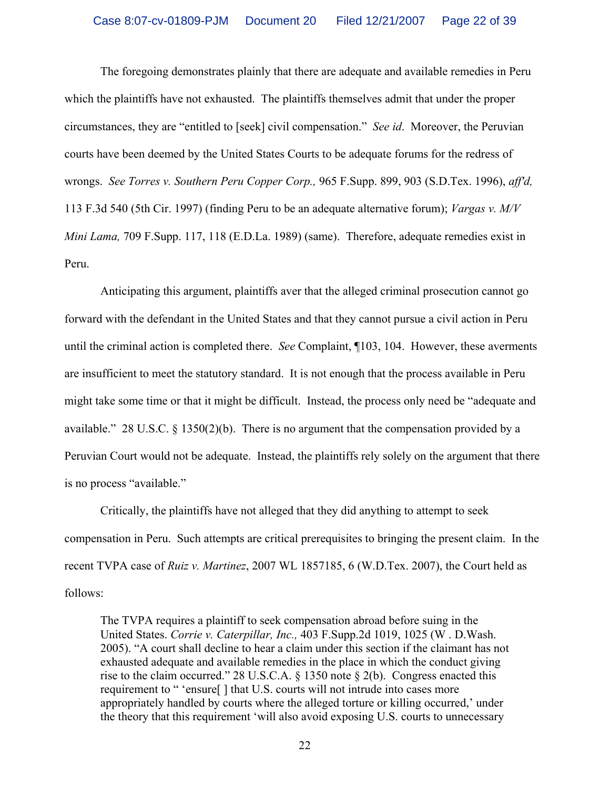The foregoing demonstrates plainly that there are adequate and available remedies in Peru which the plaintiffs have not exhausted. The plaintiffs themselves admit that under the proper circumstances, they are "entitled to [seek] civil compensation." *See id*. Moreover, the Peruvian courts have been deemed by the United States Courts to be adequate forums for the redress of wrongs. *See Torres v. Southern Peru Copper Corp.,* 965 F.Supp. 899, 903 (S.D.Tex. 1996), *aff'd,* 113 F.3d 540 (5th Cir. 1997) (finding Peru to be an adequate alternative forum); *Vargas v. M/V Mini Lama,* 709 F.Supp. 117, 118 (E.D.La. 1989) (same). Therefore, adequate remedies exist in Peru.

 Anticipating this argument, plaintiffs aver that the alleged criminal prosecution cannot go forward with the defendant in the United States and that they cannot pursue a civil action in Peru until the criminal action is completed there. *See* Complaint, ¶103, 104. However, these averments are insufficient to meet the statutory standard. It is not enough that the process available in Peru might take some time or that it might be difficult. Instead, the process only need be "adequate and available." 28 U.S.C. § 1350(2)(b). There is no argument that the compensation provided by a Peruvian Court would not be adequate. Instead, the plaintiffs rely solely on the argument that there is no process "available."

 Critically, the plaintiffs have not alleged that they did anything to attempt to seek compensation in Peru. Such attempts are critical prerequisites to bringing the present claim. In the recent TVPA case of *Ruiz v. Martinez*, 2007 WL 1857185, 6 (W.D.Tex. 2007), the Court held as follows:

The TVPA requires a plaintiff to seek compensation abroad before suing in the United States. *Corrie v. Caterpillar, Inc.,* 403 F.Supp.2d 1019, 1025 (W . D.Wash. 2005). "A court shall decline to hear a claim under this section if the claimant has not exhausted adequate and available remedies in the place in which the conduct giving rise to the claim occurred." 28 U.S.C.A. § 1350 note § 2(b). Congress enacted this requirement to " 'ensure[ ] that U.S. courts will not intrude into cases more appropriately handled by courts where the alleged torture or killing occurred,' under the theory that this requirement 'will also avoid exposing U.S. courts to unnecessary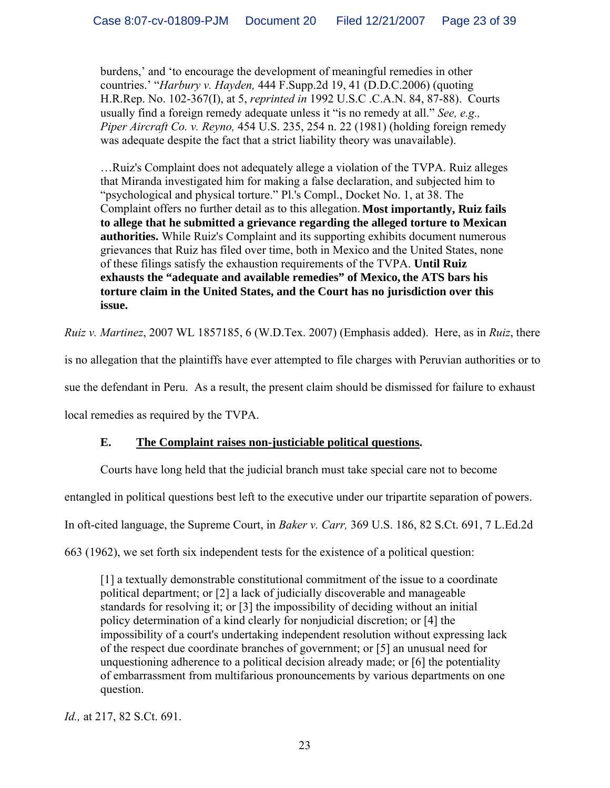burdens,' and 'to encourage the development of meaningful remedies in other countries.' "*Harbury v. Hayden,* 444 F.Supp.2d 19, 41 (D.D.C.2006) (quoting H.R.Rep. No. 102-367(I), at 5, *reprinted in* 1992 U.S.C .C.A.N. 84, 87-88). Courts usually find a foreign remedy adequate unless it "is no remedy at all." *See, e.g., Piper Aircraft Co. v. Reyno,* 454 U.S. 235, 254 n. 22 (1981) (holding foreign remedy was adequate despite the fact that a strict liability theory was unavailable).

…Ruiz's Complaint does not adequately allege a violation of the TVPA. Ruiz alleges that Miranda investigated him for making a false declaration, and subjected him to "psychological and physical torture." Pl.'s Compl., Docket No. 1, at 38. The Complaint offers no further detail as to this allegation. **Most importantly, Ruiz fails to allege that he submitted a grievance regarding the alleged torture to Mexican authorities.** While Ruiz's Complaint and its supporting exhibits document numerous grievances that Ruiz has filed over time, both in Mexico and the United States, none of these filings satisfy the exhaustion requirements of the TVPA. **Until Ruiz exhausts the "adequate and available remedies" of Mexico,the ATS bars his torture claim in the United States, and the Court has no jurisdiction over this issue.** 

*Ruiz v. Martinez*, 2007 WL 1857185, 6 (W.D.Tex. 2007) (Emphasis added). Here, as in *Ruiz*, there

is no allegation that the plaintiffs have ever attempted to file charges with Peruvian authorities or to

sue the defendant in Peru. As a result, the present claim should be dismissed for failure to exhaust

local remedies as required by the TVPA.

# **E. The Complaint raises non-justiciable political questions.**

 Courts have long held that the judicial branch must take special care not to become entangled in political questions best left to the executive under our tripartite separation of powers. In oft-cited language, the Supreme Court, in *Baker v. Carr,* 369 U.S. 186, 82 S.Ct. 691, 7 L.Ed.2d 663 (1962), we set forth six independent tests for the existence of a political question:

[1] a textually demonstrable constitutional commitment of the issue to a coordinate political department; or [2] a lack of judicially discoverable and manageable standards for resolving it; or [3] the impossibility of deciding without an initial policy determination of a kind clearly for nonjudicial discretion; or [4] the impossibility of a court's undertaking independent resolution without expressing lack of the respect due coordinate branches of government; or [5] an unusual need for unquestioning adherence to a political decision already made; or [6] the potentiality of embarrassment from multifarious pronouncements by various departments on one question.

*Id.,* at 217, 82 S.Ct. 691.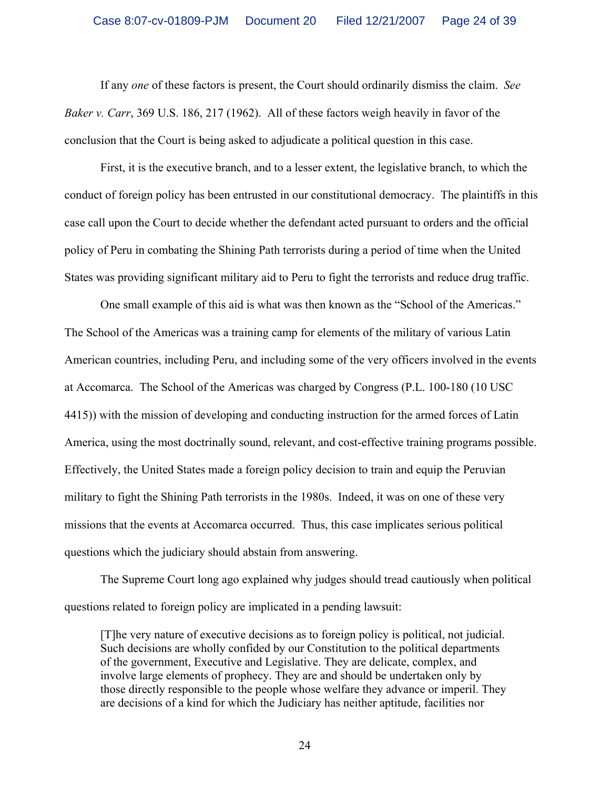If any *one* of these factors is present, the Court should ordinarily dismiss the claim. *See Baker v. Carr*, 369 U.S. 186, 217 (1962). All of these factors weigh heavily in favor of the conclusion that the Court is being asked to adjudicate a political question in this case.

 First, it is the executive branch, and to a lesser extent, the legislative branch, to which the conduct of foreign policy has been entrusted in our constitutional democracy. The plaintiffs in this case call upon the Court to decide whether the defendant acted pursuant to orders and the official policy of Peru in combating the Shining Path terrorists during a period of time when the United States was providing significant military aid to Peru to fight the terrorists and reduce drug traffic.

 One small example of this aid is what was then known as the "School of the Americas." The School of the Americas was a training camp for elements of the military of various Latin American countries, including Peru, and including some of the very officers involved in the events at Accomarca. The School of the Americas was charged by Congress (P.L. 100-180 (10 USC 4415)) with the mission of developing and conducting instruction for the armed forces of Latin America, using the most doctrinally sound, relevant, and cost-effective training programs possible. Effectively, the United States made a foreign policy decision to train and equip the Peruvian military to fight the Shining Path terrorists in the 1980s. Indeed, it was on one of these very missions that the events at Accomarca occurred. Thus, this case implicates serious political questions which the judiciary should abstain from answering.

 The Supreme Court long ago explained why judges should tread cautiously when political questions related to foreign policy are implicated in a pending lawsuit:

[T]he very nature of executive decisions as to foreign policy is political, not judicial. Such decisions are wholly confided by our Constitution to the political departments of the government, Executive and Legislative. They are delicate, complex, and involve large elements of prophecy. They are and should be undertaken only by those directly responsible to the people whose welfare they advance or imperil. They are decisions of a kind for which the Judiciary has neither aptitude, facilities nor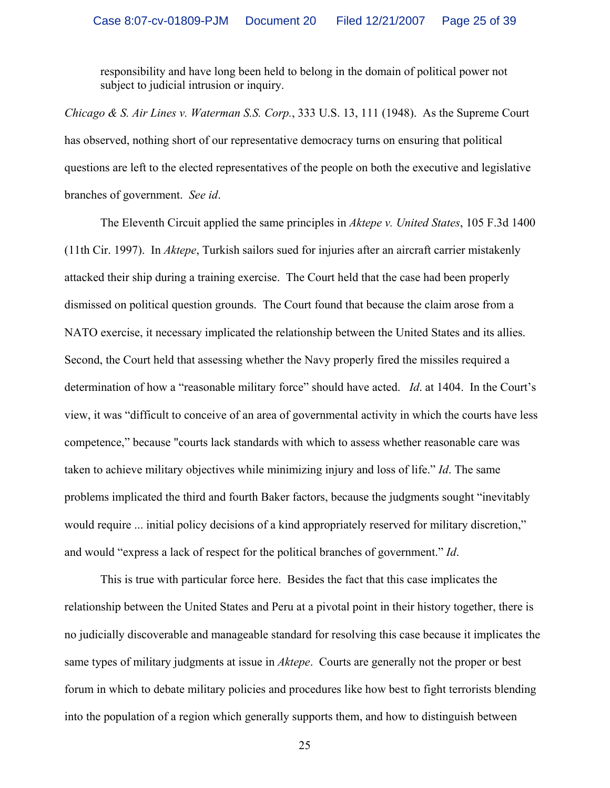responsibility and have long been held to belong in the domain of political power not subject to judicial intrusion or inquiry.

*Chicago & S. Air Lines v. Waterman S.S. Corp.*, 333 U.S. 13, 111 (1948). As the Supreme Court has observed, nothing short of our representative democracy turns on ensuring that political questions are left to the elected representatives of the people on both the executive and legislative branches of government. *See id*.

 The Eleventh Circuit applied the same principles in *Aktepe v. United States*, 105 F.3d 1400 (11th Cir. 1997). In *Aktepe*, Turkish sailors sued for injuries after an aircraft carrier mistakenly attacked their ship during a training exercise. The Court held that the case had been properly dismissed on political question grounds. The Court found that because the claim arose from a NATO exercise, it necessary implicated the relationship between the United States and its allies. Second, the Court held that assessing whether the Navy properly fired the missiles required a determination of how a "reasonable military force" should have acted. *Id*. at 1404. In the Court's view, it was "difficult to conceive of an area of governmental activity in which the courts have less competence," because "courts lack standards with which to assess whether reasonable care was taken to achieve military objectives while minimizing injury and loss of life." *Id*. The same problems implicated the third and fourth Baker factors, because the judgments sought "inevitably would require ... initial policy decisions of a kind appropriately reserved for military discretion," and would "express a lack of respect for the political branches of government." *Id*.

 This is true with particular force here. Besides the fact that this case implicates the relationship between the United States and Peru at a pivotal point in their history together, there is no judicially discoverable and manageable standard for resolving this case because it implicates the same types of military judgments at issue in *Aktepe*. Courts are generally not the proper or best forum in which to debate military policies and procedures like how best to fight terrorists blending into the population of a region which generally supports them, and how to distinguish between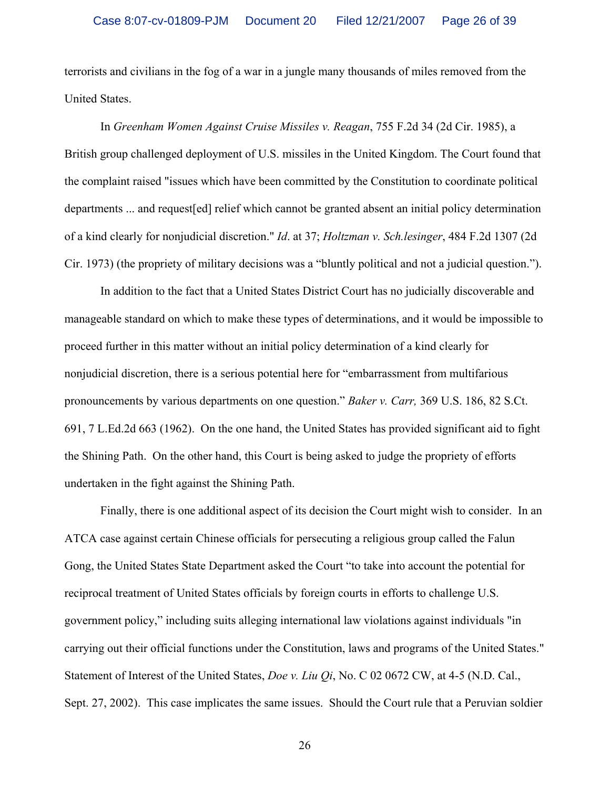terrorists and civilians in the fog of a war in a jungle many thousands of miles removed from the United States.

 In *Greenham Women Against Cruise Missiles v. Reagan*, 755 F.2d 34 (2d Cir. 1985), a British group challenged deployment of U.S. missiles in the United Kingdom. The Court found that the complaint raised "issues which have been committed by the Constitution to coordinate political departments ... and request[ed] relief which cannot be granted absent an initial policy determination of a kind clearly for nonjudicial discretion." *Id*. at 37; *Holtzman v. Sch.lesinger*, 484 F.2d 1307 (2d Cir. 1973) (the propriety of military decisions was a "bluntly political and not a judicial question.").

 In addition to the fact that a United States District Court has no judicially discoverable and manageable standard on which to make these types of determinations, and it would be impossible to proceed further in this matter without an initial policy determination of a kind clearly for nonjudicial discretion, there is a serious potential here for "embarrassment from multifarious pronouncements by various departments on one question." *Baker v. Carr,* 369 U.S. 186, 82 S.Ct. 691, 7 L.Ed.2d 663 (1962). On the one hand, the United States has provided significant aid to fight the Shining Path. On the other hand, this Court is being asked to judge the propriety of efforts undertaken in the fight against the Shining Path.

 Finally, there is one additional aspect of its decision the Court might wish to consider. In an ATCA case against certain Chinese officials for persecuting a religious group called the Falun Gong, the United States State Department asked the Court "to take into account the potential for reciprocal treatment of United States officials by foreign courts in efforts to challenge U.S. government policy," including suits alleging international law violations against individuals "in carrying out their official functions under the Constitution, laws and programs of the United States." Statement of Interest of the United States, *Doe v. Liu Qi*, No. C 02 0672 CW, at 4-5 (N.D. Cal., Sept. 27, 2002). This case implicates the same issues. Should the Court rule that a Peruvian soldier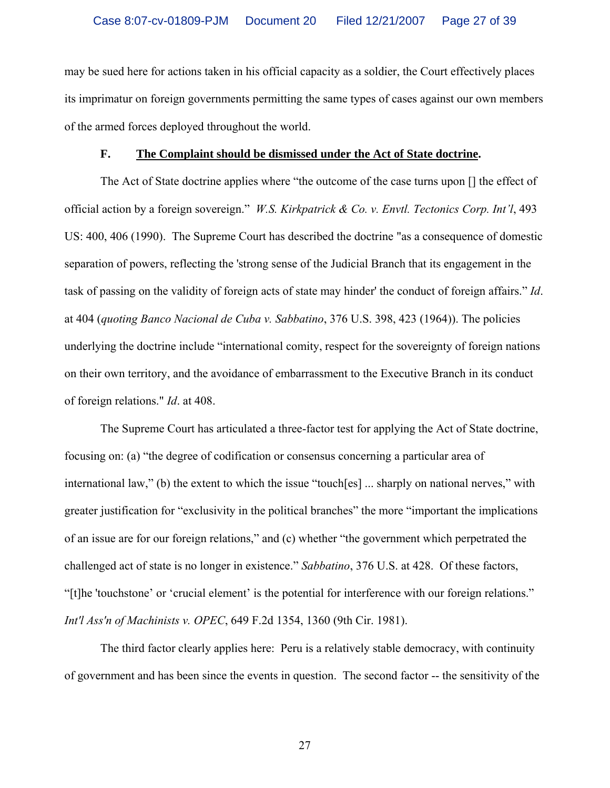may be sued here for actions taken in his official capacity as a soldier, the Court effectively places its imprimatur on foreign governments permitting the same types of cases against our own members of the armed forces deployed throughout the world.

#### **F. The Complaint should be dismissed under the Act of State doctrine.**

 The Act of State doctrine applies where "the outcome of the case turns upon [] the effect of official action by a foreign sovereign." *W.S. Kirkpatrick & Co. v. Envtl. Tectonics Corp. Int'l*, 493 US: 400, 406 (1990). The Supreme Court has described the doctrine "as a consequence of domestic separation of powers, reflecting the 'strong sense of the Judicial Branch that its engagement in the task of passing on the validity of foreign acts of state may hinder' the conduct of foreign affairs." *Id*. at 404 (*quoting Banco Nacional de Cuba v. Sabbatino*, 376 U.S. 398, 423 (1964)). The policies underlying the doctrine include "international comity, respect for the sovereignty of foreign nations on their own territory, and the avoidance of embarrassment to the Executive Branch in its conduct of foreign relations." *Id*. at 408.

 The Supreme Court has articulated a three-factor test for applying the Act of State doctrine, focusing on: (a) "the degree of codification or consensus concerning a particular area of international law," (b) the extent to which the issue "touch[es] ... sharply on national nerves," with greater justification for "exclusivity in the political branches" the more "important the implications of an issue are for our foreign relations," and (c) whether "the government which perpetrated the challenged act of state is no longer in existence." *Sabbatino*, 376 U.S. at 428. Of these factors, "[t]he 'touchstone' or 'crucial element' is the potential for interference with our foreign relations." *Int'l Ass'n of Machinists v. OPEC*, 649 F.2d 1354, 1360 (9th Cir. 1981).

 The third factor clearly applies here: Peru is a relatively stable democracy, with continuity of government and has been since the events in question. The second factor -- the sensitivity of the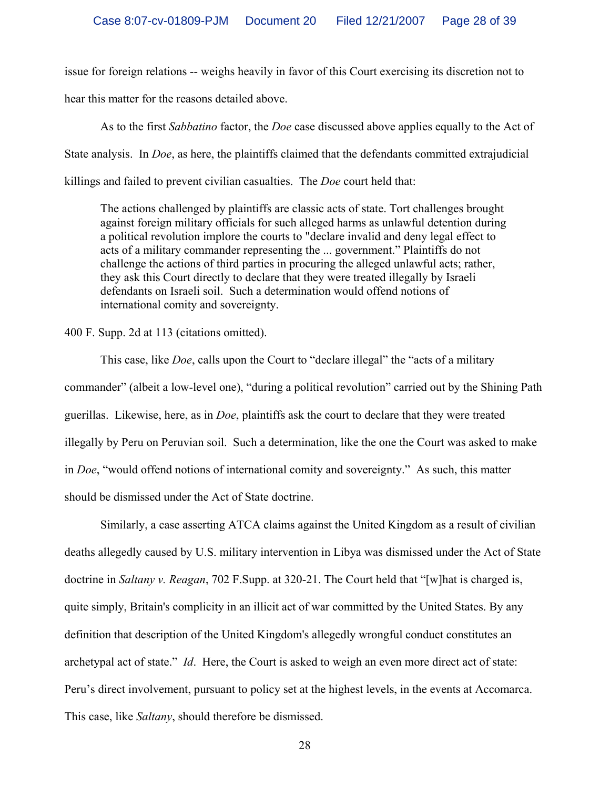issue for foreign relations -- weighs heavily in favor of this Court exercising its discretion not to hear this matter for the reasons detailed above.

 As to the first *Sabbatino* factor, the *Doe* case discussed above applies equally to the Act of State analysis. In *Doe*, as here, the plaintiffs claimed that the defendants committed extrajudicial killings and failed to prevent civilian casualties. The *Doe* court held that:

The actions challenged by plaintiffs are classic acts of state. Tort challenges brought against foreign military officials for such alleged harms as unlawful detention during a political revolution implore the courts to "declare invalid and deny legal effect to acts of a military commander representing the ... government." Plaintiffs do not challenge the actions of third parties in procuring the alleged unlawful acts; rather, they ask this Court directly to declare that they were treated illegally by Israeli defendants on Israeli soil. Such a determination would offend notions of international comity and sovereignty.

400 F. Supp. 2d at 113 (citations omitted).

 This case, like *Doe*, calls upon the Court to "declare illegal" the "acts of a military commander" (albeit a low-level one), "during a political revolution" carried out by the Shining Path guerillas. Likewise, here, as in *Doe*, plaintiffs ask the court to declare that they were treated illegally by Peru on Peruvian soil. Such a determination, like the one the Court was asked to make in *Doe*, "would offend notions of international comity and sovereignty." As such, this matter should be dismissed under the Act of State doctrine.

 Similarly, a case asserting ATCA claims against the United Kingdom as a result of civilian deaths allegedly caused by U.S. military intervention in Libya was dismissed under the Act of State doctrine in *Saltany v. Reagan*, 702 F.Supp. at 320-21. The Court held that "[w]hat is charged is, quite simply, Britain's complicity in an illicit act of war committed by the United States. By any definition that description of the United Kingdom's allegedly wrongful conduct constitutes an archetypal act of state." *Id*. Here, the Court is asked to weigh an even more direct act of state: Peru's direct involvement, pursuant to policy set at the highest levels, in the events at Accomarca. This case, like *Saltany*, should therefore be dismissed.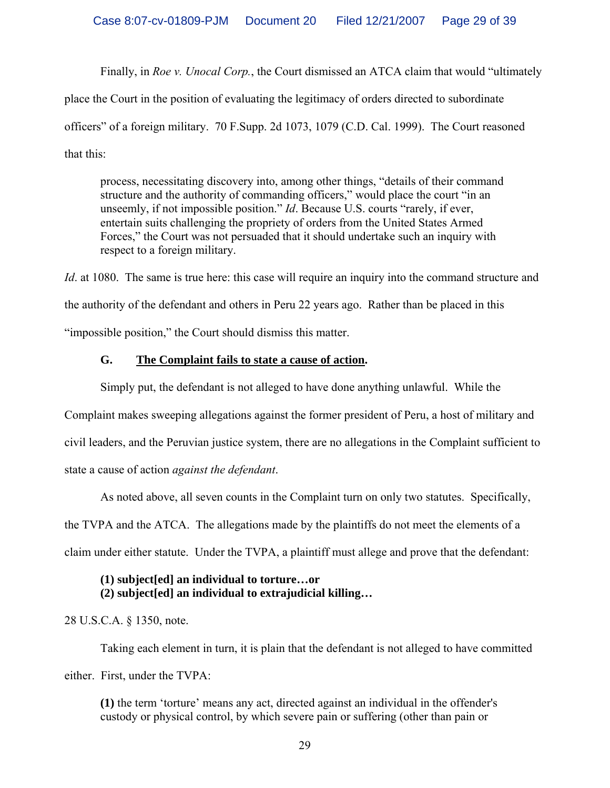Finally, in *Roe v. Unocal Corp.*, the Court dismissed an ATCA claim that would "ultimately place the Court in the position of evaluating the legitimacy of orders directed to subordinate officers" of a foreign military. 70 F.Supp. 2d 1073, 1079 (C.D. Cal. 1999). The Court reasoned that this:

process, necessitating discovery into, among other things, "details of their command structure and the authority of commanding officers," would place the court "in an unseemly, if not impossible position." *Id*. Because U.S. courts "rarely, if ever, entertain suits challenging the propriety of orders from the United States Armed Forces," the Court was not persuaded that it should undertake such an inquiry with respect to a foreign military.

*Id*. at 1080. The same is true here: this case will require an inquiry into the command structure and the authority of the defendant and others in Peru 22 years ago. Rather than be placed in this "impossible position," the Court should dismiss this matter.

## **G. The Complaint fails to state a cause of action.**

Simply put, the defendant is not alleged to have done anything unlawful. While the

Complaint makes sweeping allegations against the former president of Peru, a host of military and civil leaders, and the Peruvian justice system, there are no allegations in the Complaint sufficient to state a cause of action *against the defendant*.

As noted above, all seven counts in the Complaint turn on only two statutes. Specifically,

the TVPA and the ATCA. The allegations made by the plaintiffs do not meet the elements of a claim under either statute. Under the TVPA, a plaintiff must allege and prove that the defendant:

## **(1) subject[ed] an individual to torture…or (2) subject[ed] an individual to extrajudicial killing…**

28 U.S.C.A. § 1350, note.

 Taking each element in turn, it is plain that the defendant is not alleged to have committed either. First, under the TVPA:

**(1)** the term 'torture' means any act, directed against an individual in the offender's custody or physical control, by which severe pain or suffering (other than pain or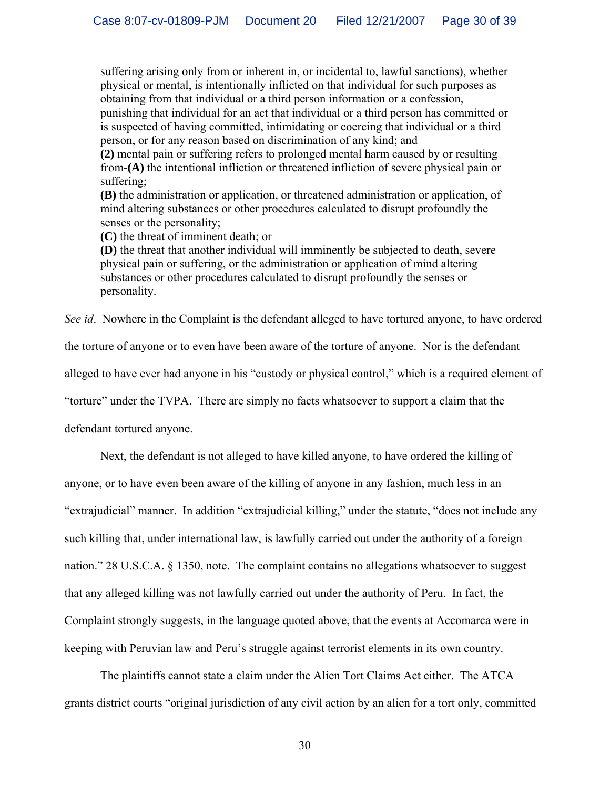suffering arising only from or inherent in, or incidental to, lawful sanctions), whether physical or mental, is intentionally inflicted on that individual for such purposes as obtaining from that individual or a third person information or a confession, punishing that individual for an act that individual or a third person has committed or is suspected of having committed, intimidating or coercing that individual or a third person, or for any reason based on discrimination of any kind; and

**(2)** mental pain or suffering refers to prolonged mental harm caused by or resulting from-**(A)** the intentional infliction or threatened infliction of severe physical pain or suffering;

**(B)** the administration or application, or threatened administration or application, of mind altering substances or other procedures calculated to disrupt profoundly the senses or the personality;

**(C)** the threat of imminent death; or

**(D)** the threat that another individual will imminently be subjected to death, severe physical pain or suffering, or the administration or application of mind altering substances or other procedures calculated to disrupt profoundly the senses or personality.

*See id*. Nowhere in the Complaint is the defendant alleged to have tortured anyone, to have ordered

the torture of anyone or to even have been aware of the torture of anyone. Nor is the defendant

alleged to have ever had anyone in his "custody or physical control," which is a required element of

"torture" under the TVPA. There are simply no facts whatsoever to support a claim that the

defendant tortured anyone.

 Next, the defendant is not alleged to have killed anyone, to have ordered the killing of anyone, or to have even been aware of the killing of anyone in any fashion, much less in an "extrajudicial" manner. In addition "extrajudicial killing," under the statute, "does not include any such killing that, under international law, is lawfully carried out under the authority of a foreign nation." 28 U.S.C.A. § 1350, note. The complaint contains no allegations whatsoever to suggest that any alleged killing was not lawfully carried out under the authority of Peru. In fact, the Complaint strongly suggests, in the language quoted above, that the events at Accomarca were in keeping with Peruvian law and Peru's struggle against terrorist elements in its own country.

 The plaintiffs cannot state a claim under the Alien Tort Claims Act either. The ATCA grants district courts "original jurisdiction of any civil action by an alien for a tort only, committed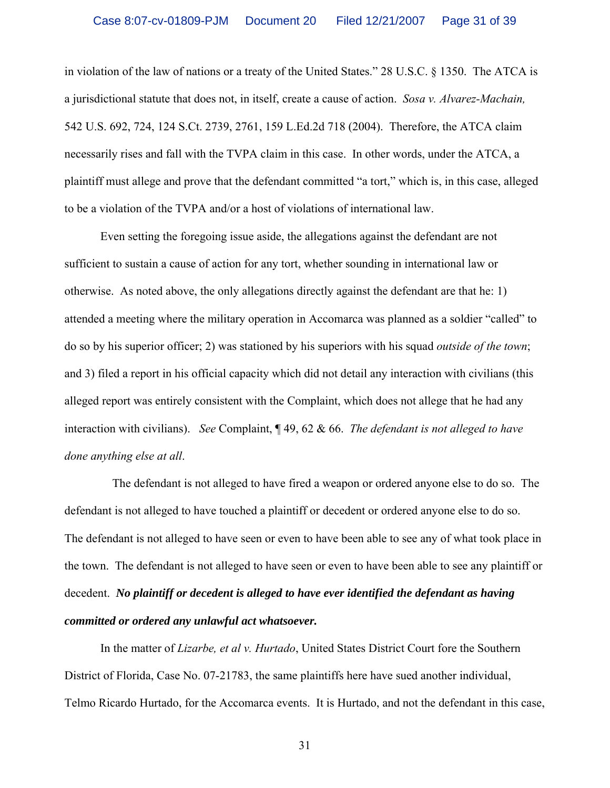in violation of the law of nations or a treaty of the United States." 28 U.S.C. § 1350. The ATCA is a jurisdictional statute that does not, in itself, create a cause of action. *Sosa v. Alvarez-Machain,* 542 U.S. 692, 724, 124 S.Ct. 2739, 2761, 159 L.Ed.2d 718 (2004). Therefore, the ATCA claim necessarily rises and fall with the TVPA claim in this case. In other words, under the ATCA, a plaintiff must allege and prove that the defendant committed "a tort," which is, in this case, alleged to be a violation of the TVPA and/or a host of violations of international law.

 Even setting the foregoing issue aside, the allegations against the defendant are not sufficient to sustain a cause of action for any tort, whether sounding in international law or otherwise. As noted above, the only allegations directly against the defendant are that he: 1) attended a meeting where the military operation in Accomarca was planned as a soldier "called" to do so by his superior officer; 2) was stationed by his superiors with his squad *outside of the town*; and 3) filed a report in his official capacity which did not detail any interaction with civilians (this alleged report was entirely consistent with the Complaint, which does not allege that he had any interaction with civilians). *See* Complaint, ¶ 49, 62 & 66. *The defendant is not alleged to have done anything else at all*.

 The defendant is not alleged to have fired a weapon or ordered anyone else to do so. The defendant is not alleged to have touched a plaintiff or decedent or ordered anyone else to do so. The defendant is not alleged to have seen or even to have been able to see any of what took place in the town. The defendant is not alleged to have seen or even to have been able to see any plaintiff or decedent. *No plaintiff or decedent is alleged to have ever identified the defendant as having committed or ordered any unlawful act whatsoever.* 

 In the matter of *Lizarbe, et al v. Hurtado*, United States District Court fore the Southern District of Florida, Case No. 07-21783, the same plaintiffs here have sued another individual, Telmo Ricardo Hurtado, for the Accomarca events. It is Hurtado, and not the defendant in this case,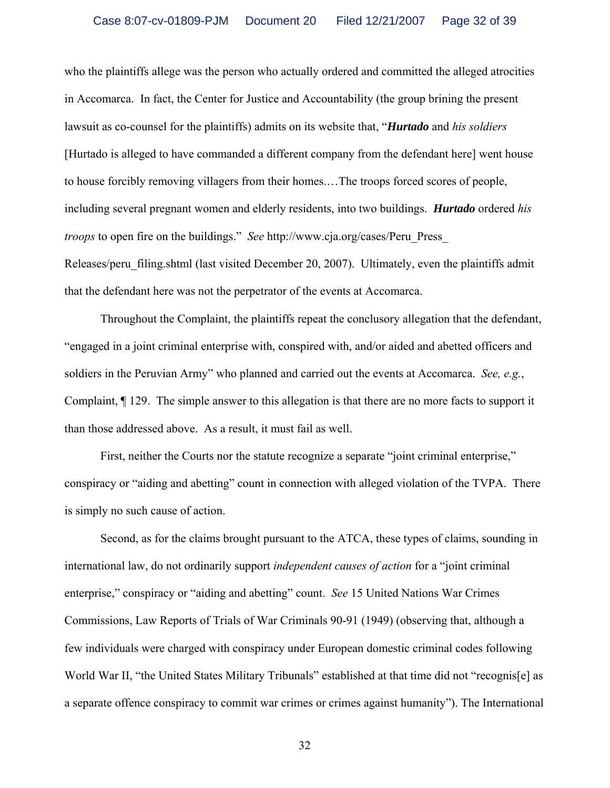who the plaintiffs allege was the person who actually ordered and committed the alleged atrocities in Accomarca. In fact, the Center for Justice and Accountability (the group brining the present lawsuit as co-counsel for the plaintiffs) admits on its website that, "*Hurtado* and *his soldiers* [Hurtado is alleged to have commanded a different company from the defendant here] went house to house forcibly removing villagers from their homes.…The troops forced scores of people, including several pregnant women and elderly residents, into two buildings. *Hurtado* ordered *his troops* to open fire on the buildings." *See* http://www.cja.org/cases/Peru\_Press\_ Releases/peru filing.shtml (last visited December 20, 2007). Ultimately, even the plaintiffs admit that the defendant here was not the perpetrator of the events at Accomarca.

 Throughout the Complaint, the plaintiffs repeat the conclusory allegation that the defendant, "engaged in a joint criminal enterprise with, conspired with, and/or aided and abetted officers and soldiers in the Peruvian Army" who planned and carried out the events at Accomarca. *See, e.g.*, Complaint, ¶ 129. The simple answer to this allegation is that there are no more facts to support it than those addressed above. As a result, it must fail as well.

First, neither the Courts nor the statute recognize a separate "joint criminal enterprise," conspiracy or "aiding and abetting" count in connection with alleged violation of the TVPA. There is simply no such cause of action.

 Second, as for the claims brought pursuant to the ATCA, these types of claims, sounding in international law, do not ordinarily support *independent causes of action* for a "joint criminal enterprise," conspiracy or "aiding and abetting" count. *See* 15 United Nations War Crimes Commissions, Law Reports of Trials of War Criminals 90-91 (1949) (observing that, although a few individuals were charged with conspiracy under European domestic criminal codes following World War II, "the United States Military Tribunals" established at that time did not "recognis[e] as a separate offence conspiracy to commit war crimes or crimes against humanity"). The International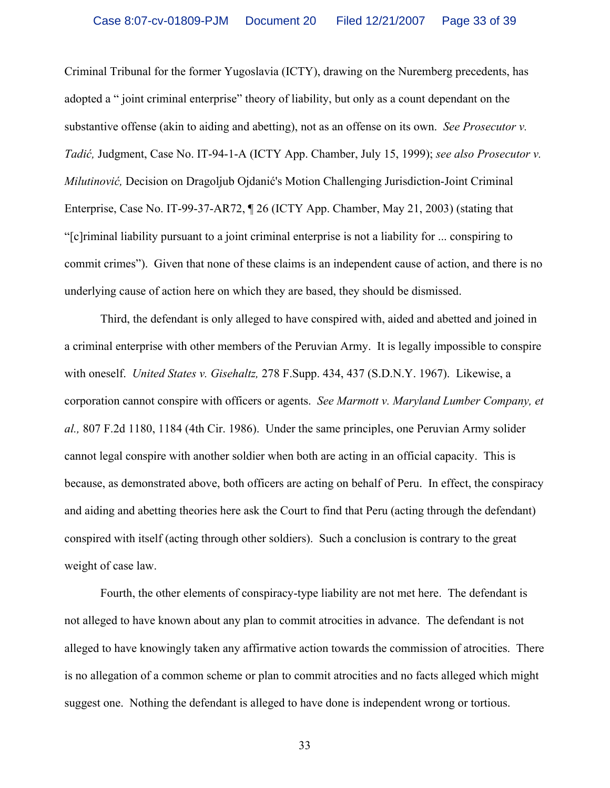Criminal Tribunal for the former Yugoslavia (ICTY), drawing on the Nuremberg precedents, has adopted a " joint criminal enterprise" theory of liability, but only as a count dependant on the substantive offense (akin to aiding and abetting), not as an offense on its own. *See Prosecutor v. Tadić,* Judgment, Case No. IT-94-1-A (ICTY App. Chamber, July 15, 1999); *see also Prosecutor v. Milutinović,* Decision on Dragoljub Ojdanić's Motion Challenging Jurisdiction-Joint Criminal Enterprise, Case No. IT-99-37-AR72, ¶ 26 (ICTY App. Chamber, May 21, 2003) (stating that "[c]riminal liability pursuant to a joint criminal enterprise is not a liability for ... conspiring to commit crimes"). Given that none of these claims is an independent cause of action, and there is no underlying cause of action here on which they are based, they should be dismissed.

 Third, the defendant is only alleged to have conspired with, aided and abetted and joined in a criminal enterprise with other members of the Peruvian Army. It is legally impossible to conspire with oneself. *United States v. Gisehaltz,* 278 F.Supp. 434, 437 (S.D.N.Y. 1967). Likewise, a corporation cannot conspire with officers or agents. *See Marmott v. Maryland Lumber Company, et al.,* 807 F.2d 1180, 1184 (4th Cir. 1986). Under the same principles, one Peruvian Army solider cannot legal conspire with another soldier when both are acting in an official capacity. This is because, as demonstrated above, both officers are acting on behalf of Peru. In effect, the conspiracy and aiding and abetting theories here ask the Court to find that Peru (acting through the defendant) conspired with itself (acting through other soldiers). Such a conclusion is contrary to the great weight of case law.

 Fourth, the other elements of conspiracy-type liability are not met here. The defendant is not alleged to have known about any plan to commit atrocities in advance. The defendant is not alleged to have knowingly taken any affirmative action towards the commission of atrocities. There is no allegation of a common scheme or plan to commit atrocities and no facts alleged which might suggest one. Nothing the defendant is alleged to have done is independent wrong or tortious.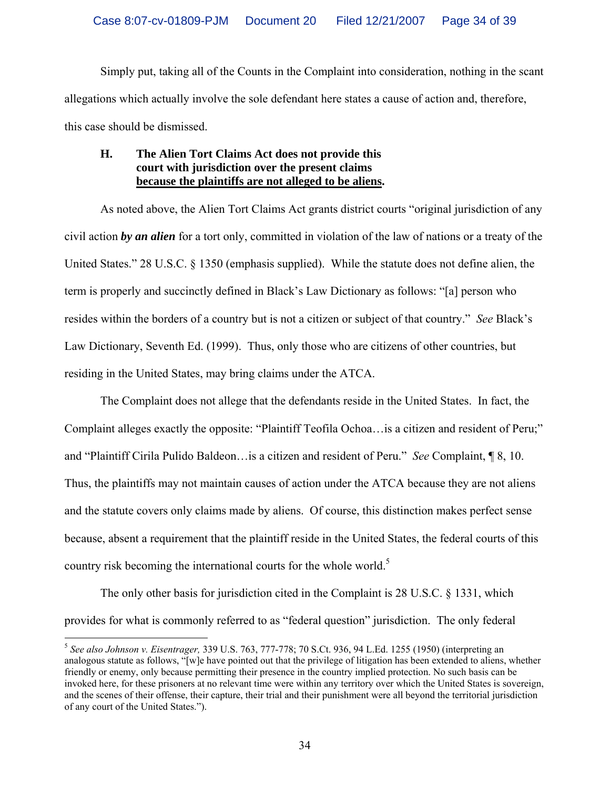Simply put, taking all of the Counts in the Complaint into consideration, nothing in the scant allegations which actually involve the sole defendant here states a cause of action and, therefore, this case should be dismissed.

## **H. The Alien Tort Claims Act does not provide this court with jurisdiction over the present claims because the plaintiffs are not alleged to be aliens.**

 As noted above, the Alien Tort Claims Act grants district courts "original jurisdiction of any civil action *by an alien* for a tort only, committed in violation of the law of nations or a treaty of the United States." 28 U.S.C. § 1350 (emphasis supplied). While the statute does not define alien, the term is properly and succinctly defined in Black's Law Dictionary as follows: "[a] person who resides within the borders of a country but is not a citizen or subject of that country." *See* Black's Law Dictionary, Seventh Ed. (1999). Thus, only those who are citizens of other countries, but residing in the United States, may bring claims under the ATCA.

 The Complaint does not allege that the defendants reside in the United States. In fact, the Complaint alleges exactly the opposite: "Plaintiff Teofila Ochoa…is a citizen and resident of Peru;" and "Plaintiff Cirila Pulido Baldeon…is a citizen and resident of Peru." *See* Complaint, ¶ 8, 10. Thus, the plaintiffs may not maintain causes of action under the ATCA because they are not aliens and the statute covers only claims made by aliens. Of course, this distinction makes perfect sense because, absent a requirement that the plaintiff reside in the United States, the federal courts of this country risk becoming the international courts for the whole world.<sup>5</sup>

 The only other basis for jurisdiction cited in the Complaint is 28 U.S.C. § 1331, which provides for what is commonly referred to as "federal question" jurisdiction. The only federal

 $\overline{a}$ 

<sup>5</sup> *See also Johnson v. Eisentrager,* 339 U.S. 763, 777-778; 70 S.Ct. 936, 94 L.Ed. 1255 (1950) (interpreting an analogous statute as follows, "[w]e have pointed out that the privilege of litigation has been extended to aliens, whether friendly or enemy, only because permitting their presence in the country implied protection. No such basis can be invoked here, for these prisoners at no relevant time were within any territory over which the United States is sovereign, and the scenes of their offense, their capture, their trial and their punishment were all beyond the territorial jurisdiction of any court of the United States.").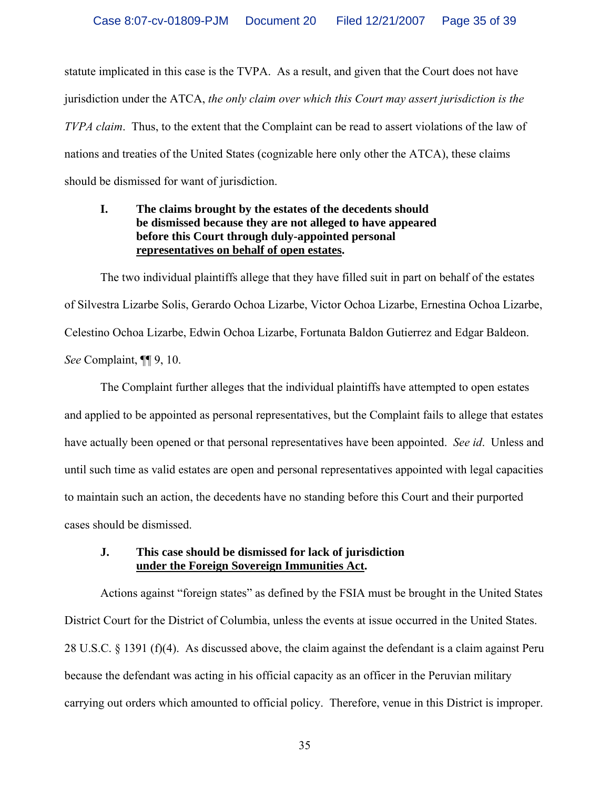statute implicated in this case is the TVPA. As a result, and given that the Court does not have jurisdiction under the ATCA, *the only claim over which this Court may assert jurisdiction is the TVPA claim*. Thus, to the extent that the Complaint can be read to assert violations of the law of nations and treaties of the United States (cognizable here only other the ATCA), these claims should be dismissed for want of jurisdiction.

## **I. The claims brought by the estates of the decedents should be dismissed because they are not alleged to have appeared before this Court through duly-appointed personal representatives on behalf of open estates.**

 The two individual plaintiffs allege that they have filled suit in part on behalf of the estates of Silvestra Lizarbe Solis, Gerardo Ochoa Lizarbe, Victor Ochoa Lizarbe, Ernestina Ochoa Lizarbe, Celestino Ochoa Lizarbe, Edwin Ochoa Lizarbe, Fortunata Baldon Gutierrez and Edgar Baldeon. *See* Complaint, ¶¶ 9, 10.

 The Complaint further alleges that the individual plaintiffs have attempted to open estates and applied to be appointed as personal representatives, but the Complaint fails to allege that estates have actually been opened or that personal representatives have been appointed. *See id*. Unless and until such time as valid estates are open and personal representatives appointed with legal capacities to maintain such an action, the decedents have no standing before this Court and their purported cases should be dismissed.

## **J. This case should be dismissed for lack of jurisdiction under the Foreign Sovereign Immunities Act.**

 Actions against "foreign states" as defined by the FSIA must be brought in the United States District Court for the District of Columbia, unless the events at issue occurred in the United States. 28 U.S.C. § 1391 (f)(4). As discussed above, the claim against the defendant is a claim against Peru because the defendant was acting in his official capacity as an officer in the Peruvian military carrying out orders which amounted to official policy. Therefore, venue in this District is improper.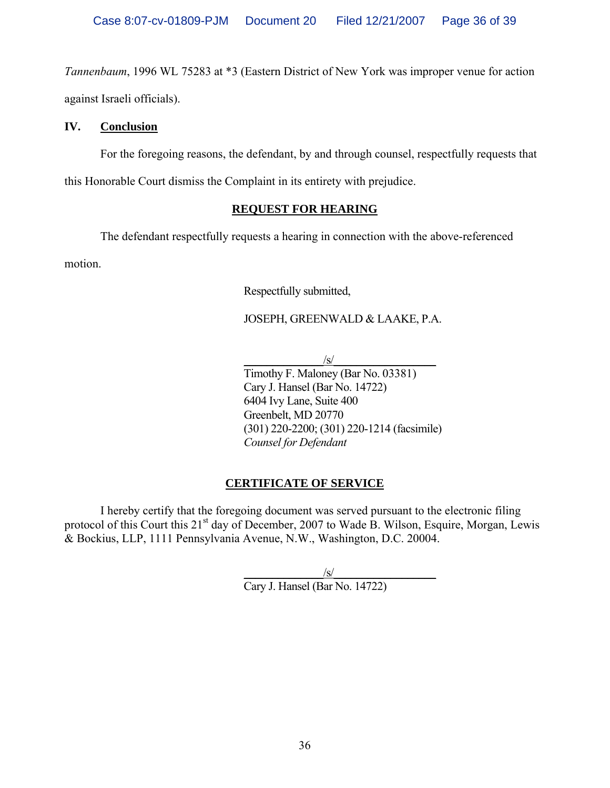*Tannenbaum*, 1996 WL 75283 at \*3 (Eastern District of New York was improper venue for action against Israeli officials).

# **IV. Conclusion**

For the foregoing reasons, the defendant, by and through counsel, respectfully requests that

this Honorable Court dismiss the Complaint in its entirety with prejudice.

# **REQUEST FOR HEARING**

The defendant respectfully requests a hearing in connection with the above-referenced

motion.

Respectfully submitted,

# JOSEPH, GREENWALD & LAAKE, P.A.

 $\sqrt{s}$ / Timothy F. Maloney (Bar No. 03381) Cary J. Hansel (Bar No. 14722) 6404 Ivy Lane, Suite 400 Greenbelt, MD 20770 (301) 220-2200; (301) 220-1214 (facsimile) *Counsel for Defendant* 

# **CERTIFICATE OF SERVICE**

 I hereby certify that the foregoing document was served pursuant to the electronic filing protocol of this Court this 21<sup>st</sup> day of December, 2007 to Wade B. Wilson, Esquire, Morgan, Lewis & Bockius, LLP, 1111 Pennsylvania Avenue, N.W., Washington, D.C. 20004.

 $\frac{|S|}{|S|}$ Cary J. Hansel (Bar No. 14722)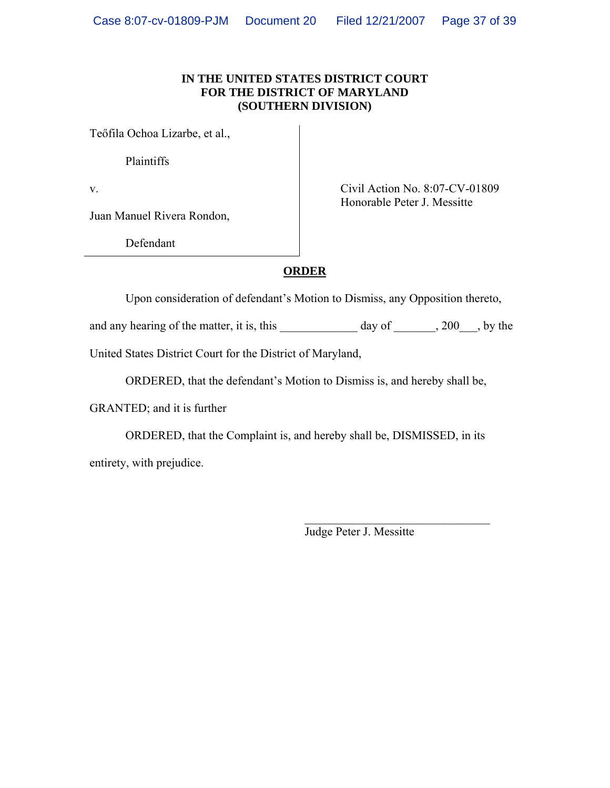#### **IN THE UNITED STATES DISTRICT COURT FOR THE DISTRICT OF MARYLAND (SOUTHERN DIVISION)**

Teőfila Ochoa Lizarbe, et al.,

Plaintiffs

Juan Manuel Rivera Rondon,

Defendant

v. Civil Action No. 8:07-CV-01809 Honorable Peter J. Messitte

# **ORDER**

Upon consideration of defendant's Motion to Dismiss, any Opposition thereto,

and any hearing of the matter, it is, this  $\qquad \qquad$  day of  $\qquad \qquad$ , 200  $\qquad$ , by the

United States District Court for the District of Maryland,

ORDERED, that the defendant's Motion to Dismiss is, and hereby shall be,

GRANTED; and it is further

 ORDERED, that the Complaint is, and hereby shall be, DISMISSED, in its entirety, with prejudice.

 $\mathcal{L}_\text{max}$  and  $\mathcal{L}_\text{max}$  and  $\mathcal{L}_\text{max}$  and  $\mathcal{L}_\text{max}$  and  $\mathcal{L}_\text{max}$  and  $\mathcal{L}_\text{max}$ 

Judge Peter J. Messitte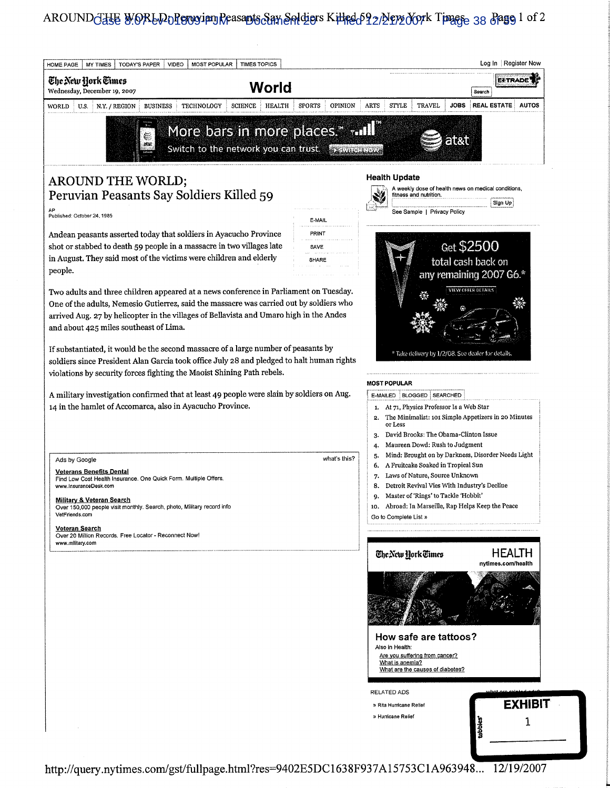# AROUND<del>GHE</del> WORLD DPONyian Reasants San Saldiors Killed 592/2002 Tork Time 38 Bago 1 of 2